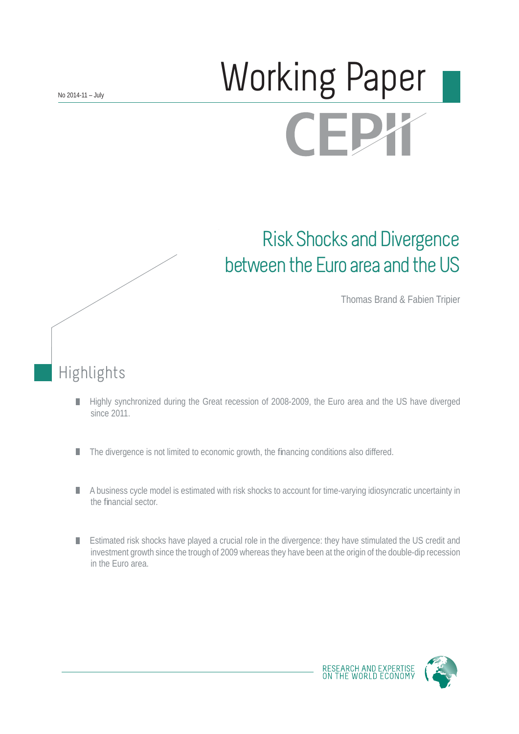# Working Paper **CEPX**

## Risk Shocks and Divergence between the Euro area and the US

Thomas Brand & Fabien Tripier

Highlights

- Highly synchronized during the Great recession of 2008-2009, the Euro area and the US have diverged П since 2011.
- The divergence is not limited to economic growth, the financing conditions also differed. П
- A business cycle model is estimated with risk shocks to account for time-varying idiosyncratic uncertainty in the financial sector
- Estimated risk shocks have played a crucial role in the divergence: they have stimulated the US credit and investment growth since the trough of 2009 whereas they have been at the origin of the double-dip recession in the Euro area.



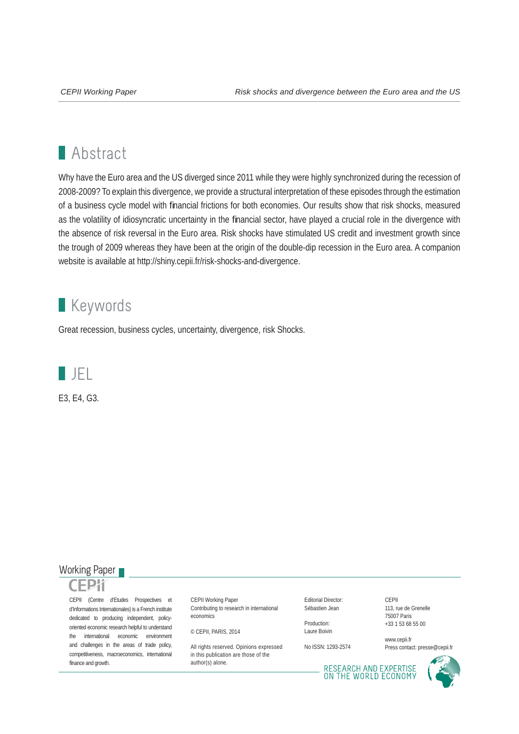## **Abstract**

Why have the Euro area and the US diverged since 2011 while they were highly synchronized during the recession of 2008-2009? To explain this divergence, we provide a structural interpretation of these episodes through the estimation of a business cycle model with financial frictions for both economies. Our results show that risk shocks, measured as the volatility of idiosyncratic uncertainty in the financial sector, have played a crucial role in the divergence with the absence of risk reversal in the Euro area. Risk shocks have stimulated US credit and investment growth since the trough of 2009 whereas they have been at the origin of the double-dip recession in the Euro area. A companion website is available at http://shiny.cepii.fr/risk-shocks-and-divergence.

## **Keywords**

Great recession, business cycles, uncertainty, divergence, risk Shocks.



### Working Paper



CEPII (Centre d'Etudes Prospectives et d'Informations Internationales) is a French institute dedicated to producing independent, policyoriented economic research helpful to understand the international economic environment and challenges in the areas of trade policy, competitiveness, macroeconomics, international finance and growth.

CEPII Working Paper Contributing to research in international economics

```
© CEPII, PARIS, 2014
```
All rights reserved. Opinions expressed. in this publication are those of the author(s) alone.

Editorial Director: Sébastien Jean

Production: Laure Boivin

No ISSN: 1293-2574

CEPII 113, rue de Grenelle 75007 Paris +33 1 53 68 55 00

www.cepii.fr Press contact: presse@cepii.fr

RESEARCH AND EXPERTISE<br>ON THE WORLD ECONOMY

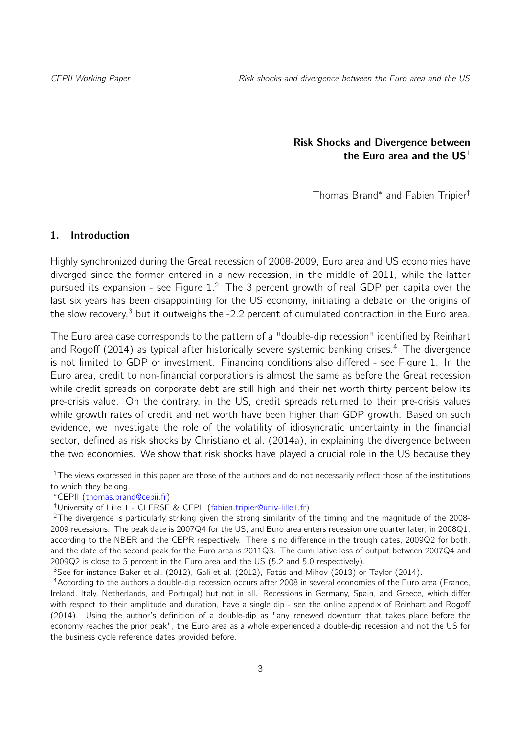Risk Shocks and Divergence between the Euro area and the  $US<sup>1</sup>$  $US<sup>1</sup>$  $US<sup>1</sup>$ 

Thomas Brand[∗](#page-2-1) and Fabien Tripier[†](#page-2-2)

#### 1. Introduction

Highly synchronized during the Great recession of 2008-2009, Euro area and US economies have diverged since the former entered in a new recession, in the middle of 2011, while the latter pursued its expansion - see Figure [1.](#page-3-0)<sup>[2](#page-2-3)</sup> The 3 percent growth of real GDP per capita over the last six years has been disappointing for the US economy, initiating a debate on the origins of the slow recovery, $3$  but it outweighs the -2.2 percent of cumulated contraction in the Euro area.

The Euro area case corresponds to the pattern of a "double-dip recession" identified by [Reinhart](#page-24-0) [and Rogoff](#page-24-0) [\(2014\)](#page-24-0) as typical after historically severe systemic banking crises.<sup>[4](#page-2-5)</sup> The divergence is not limited to GDP or investment. Financing conditions also differed - see Figure [1.](#page-3-0) In the Euro area, credit to non-financial corporations is almost the same as before the Great recession while credit spreads on corporate debt are still high and their net worth thirty percent below its pre-crisis value. On the contrary, in the US, credit spreads returned to their pre-crisis values while growth rates of credit and net worth have been higher than GDP growth. Based on such evidence, we investigate the role of the volatility of idiosyncratic uncertainty in the financial sector, defined as risk shocks by [Christiano et al.](#page-22-0) [\(2014a\)](#page-22-0), in explaining the divergence between the two economies. We show that risk shocks have played a crucial role in the US because they

<span id="page-2-4"></span><sup>3</sup>See for instance [Baker et al.](#page-22-1) [\(2012\)](#page-23-0), [Galí et al.](#page-23-0) (2012), [Fatás and Mihov](#page-23-1) [\(2013\)](#page-23-1) or [Taylor](#page-24-1) [\(2014\)](#page-24-1).

<span id="page-2-0"></span><sup>&</sup>lt;sup>1</sup>The views expressed in this paper are those of the authors and do not necessarily reflect those of the institutions to which they belong.

<span id="page-2-1"></span><sup>∗</sup>CEPII [\(thomas.brand@cepii.fr\)](mailto:thomas.brand@cepii.fr)

<span id="page-2-3"></span><span id="page-2-2"></span><sup>†</sup>University of Lille 1 - CLERSE & CEPII [\(fabien.tripier@univ-lille1.fr\)](mailto:fabien.tripier@univ-lille1.fr)

 $2$ The divergence is particularly striking given the strong similarity of the timing and the magnitude of the 2008-2009 recessions. The peak date is 2007Q4 for the US, and Euro area enters recession one quarter later, in 2008Q1, according to the NBER and the CEPR respectively. There is no difference in the trough dates, 2009Q2 for both, and the date of the second peak for the Euro area is 2011Q3. The cumulative loss of output between 2007Q4 and 2009Q2 is close to 5 percent in the Euro area and the US (5.2 and 5.0 respectively).

<span id="page-2-5"></span><sup>&</sup>lt;sup>4</sup> According to the authors a double-dip recession occurs after 2008 in several economies of the Euro area (France, Ireland, Italy, Netherlands, and Portugal) but not in all. Recessions in Germany, Spain, and Greece, which differ with respect to their amplitude and duration, have a single dip - see the online appendix of [Reinhart and Rogoff](#page-24-0) [\(2014\)](#page-24-0). Using the author's definition of a double-dip as "any renewed downturn that takes place before the economy reaches the prior peak", the Euro area as a whole experienced a double-dip recession and not the US for the business cycle reference dates provided before.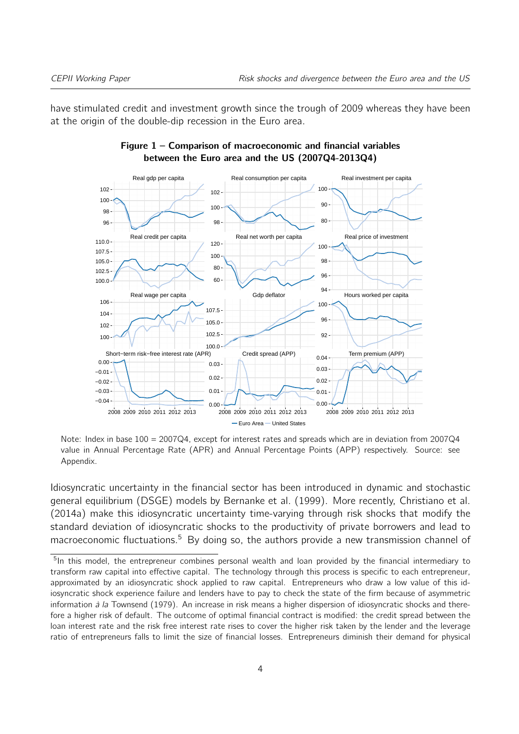<span id="page-3-0"></span>have stimulated credit and investment growth since the trough of 2009 whereas they have been at the origin of the double-dip recession in the Euro area.



#### Figure 1 – Comparison of macroeconomic and financial variables between the Euro area and the US (2007Q4-2013Q4)

Note: Index in base 100 = 2007Q4, except for interest rates and spreads which are in deviation from 2007Q4 value in Annual Percentage Rate (APR) and Annual Percentage Points (APP) respectively. Source: see Appendix.

Idiosyncratic uncertainty in the financial sector has been introduced in dynamic and stochastic general equilibrium (DSGE) models by [Bernanke et al.](#page-22-2) [\(1999\)](#page-22-2). More recently, [Christiano et al.](#page-22-0) [\(2014a\)](#page-22-0) make this idiosyncratic uncertainty time-varying through risk shocks that modify the standard deviation of idiosyncratic shocks to the productivity of private borrowers and lead to macroeconomic fluctuations.<sup>[5](#page-3-1)</sup> By doing so, the authors provide a new transmission channel of

<span id="page-3-1"></span><sup>&</sup>lt;sup>5</sup>In this model, the entrepreneur combines personal wealth and loan provided by the financial intermediary to transform raw capital into effective capital. The technology through this process is specific to each entrepreneur, approximated by an idiosyncratic shock applied to raw capital. Entrepreneurs who draw a low value of this idiosyncratic shock experience failure and lenders have to pay to check the state of the firm because of asymmetric information  $\hat{a}$  la [Townsend](#page-24-2) [\(1979\)](#page-24-2). An increase in risk means a higher dispersion of idiosyncratic shocks and therefore a higher risk of default. The outcome of optimal financial contract is modified: the credit spread between the loan interest rate and the risk free interest rate rises to cover the higher risk taken by the lender and the leverage ratio of entrepreneurs falls to limit the size of financial losses. Entrepreneurs diminish their demand for physical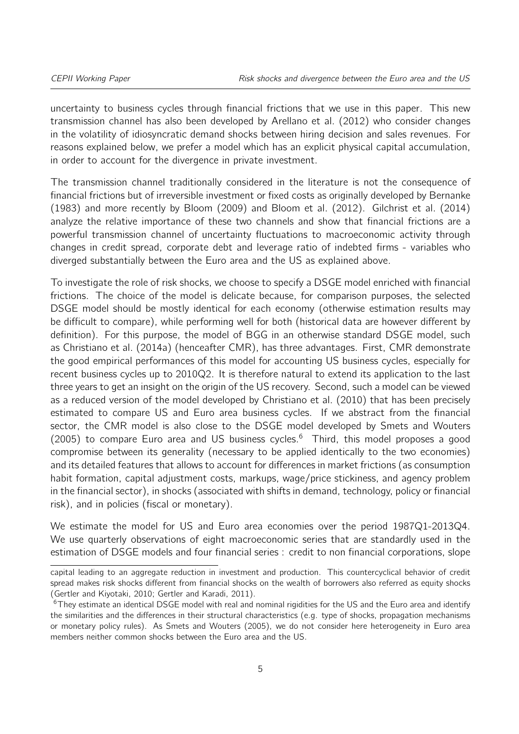uncertainty to business cycles through financial frictions that we use in this paper. This new transmission channel has also been developed by [Arellano et al.](#page-22-3) [\(2012\)](#page-22-3) who consider changes in the volatility of idiosyncratic demand shocks between hiring decision and sales revenues. For reasons explained below, we prefer a model which has an explicit physical capital accumulation, in order to account for the divergence in private investment.

The transmission channel traditionally considered in the literature is not the consequence of financial frictions but of irreversible investment or fixed costs as originally developed by [Bernanke](#page-22-4) [\(1983\)](#page-22-4) and more recently by [Bloom](#page-22-5) [\(2009\)](#page-22-5) and [Bloom et al.](#page-22-6) [\(2012\)](#page-22-6). [Gilchrist et al.](#page-23-2) [\(2014\)](#page-23-2) analyze the relative importance of these two channels and show that financial frictions are a powerful transmission channel of uncertainty fluctuations to macroeconomic activity through changes in credit spread, corporate debt and leverage ratio of indebted firms - variables who diverged substantially between the Euro area and the US as explained above.

To investigate the role of risk shocks, we choose to specify a DSGE model enriched with financial frictions. The choice of the model is delicate because, for comparison purposes, the selected DSGE model should be mostly identical for each economy (otherwise estimation results may be difficult to compare), while performing well for both (historical data are however different by definition). For this purpose, the model of BGG in an otherwise standard DSGE model, such as [Christiano et al.](#page-22-0) [\(2014a\)](#page-22-0) (henceafter CMR), has three advantages. First, CMR demonstrate the good empirical performances of this model for accounting US business cycles, especially for recent business cycles up to 2010Q2. It is therefore natural to extend its application to the last three years to get an insight on the origin of the US recovery. Second, such a model can be viewed as a reduced version of the model developed by [Christiano et al.](#page-22-7) [\(2010\)](#page-22-7) that has been precisely estimated to compare US and Euro area business cycles. If we abstract from the financial sector, the CMR model is also close to the DSGE model developed by [Smets and Wouters](#page-24-3) [\(2005\)](#page-24-3) to compare Euro area and US business cycles.<sup>[6](#page-4-0)</sup> Third, this model proposes a good compromise between its generality (necessary to be applied identically to the two economies) and its detailed features that allows to account for differences in market frictions (as consumption habit formation, capital adjustment costs, markups, wage/price stickiness, and agency problem in the financial sector), in shocks (associated with shifts in demand, technology, policy or financial risk), and in policies (fiscal or monetary).

We estimate the model for US and Euro area economies over the period 1987Q1-2013Q4. We use quarterly observations of eight macroeconomic series that are standardly used in the estimation of DSGE models and four financial series : credit to non financial corporations, slope

capital leading to an aggregate reduction in investment and production. This countercyclical behavior of credit spread makes risk shocks different from financial shocks on the wealth of borrowers also referred as equity shocks [\(Gertler and Kiyotaki,](#page-23-3) [2010;](#page-23-3) [Gertler and Karadi,](#page-23-4) [2011\)](#page-23-4).

<span id="page-4-0"></span><sup>&</sup>lt;sup>6</sup>They estimate an identical DSGE model with real and nominal rigidities for the US and the Euro area and identify the similarities and the differences in their structural characteristics (e.g. type of shocks, propagation mechanisms or monetary policy rules). As [Smets and Wouters](#page-24-3) [\(2005\)](#page-24-3), we do not consider here heterogeneity in Euro area members neither common shocks between the Euro area and the US.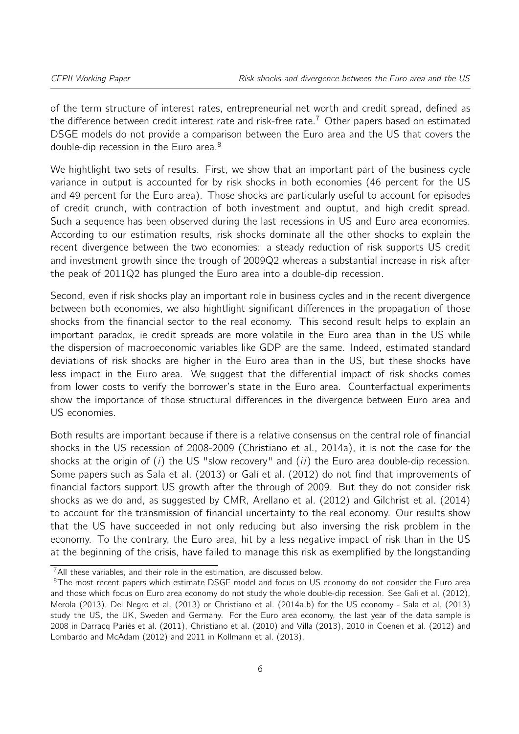of the term structure of interest rates, entrepreneurial net worth and credit spread, defined as the difference between credit interest rate and risk-free rate.<sup>[7](#page-5-0)</sup> Other papers based on estimated DSGE models do not provide a comparison between the Euro area and the US that covers the double-dip recession in the Euro area.<sup>[8](#page-5-1)</sup>

We hightlight two sets of results. First, we show that an important part of the business cycle variance in output is accounted for by risk shocks in both economies (46 percent for the US and 49 percent for the Euro area). Those shocks are particularly useful to account for episodes of credit crunch, with contraction of both investment and ouptut, and high credit spread. Such a sequence has been observed during the last recessions in US and Euro area economies. According to our estimation results, risk shocks dominate all the other shocks to explain the recent divergence between the two economies: a steady reduction of risk supports US credit and investment growth since the trough of 2009Q2 whereas a substantial increase in risk after the peak of 2011Q2 has plunged the Euro area into a double-dip recession.

Second, even if risk shocks play an important role in business cycles and in the recent divergence between both economies, we also hightlight significant differences in the propagation of those shocks from the financial sector to the real economy. This second result helps to explain an important paradox, ie credit spreads are more volatile in the Euro area than in the US while the dispersion of macroeconomic variables like GDP are the same. Indeed, estimated standard deviations of risk shocks are higher in the Euro area than in the US, but these shocks have less impact in the Euro area. We suggest that the differential impact of risk shocks comes from lower costs to verify the borrower's state in the Euro area. Counterfactual experiments show the importance of those structural differences in the divergence between Euro area and US economies.

Both results are important because if there is a relative consensus on the central role of financial shocks in the US recession of 2008-2009 [\(Christiano et al.,](#page-22-0) [2014a\)](#page-22-0), it is not the case for the shocks at the origin of  $(i)$  the US "slow recovery" and  $(ii)$  the Euro area double-dip recession. Some papers such as [Sala et al.](#page-24-4) [\(2013\)](#page-24-4) or [Galí et al.](#page-23-0) [\(2012\)](#page-23-0) do not find that improvements of financial factors support US growth after the through of 2009. But they do not consider risk shocks as we do and, as suggested by CMR, [Arellano et al.](#page-22-3) [\(2012\)](#page-22-3) and [Gilchrist et al.](#page-23-2) [\(2014\)](#page-23-2) to account for the transmission of financial uncertainty to the real economy. Our results show that the US have succeeded in not only reducing but also inversing the risk problem in the economy. To the contrary, the Euro area, hit by a less negative impact of risk than in the US at the beginning of the crisis, have failed to manage this risk as exemplified by the longstanding

<span id="page-5-0"></span> $7$ All these variables, and their role in the estimation, are discussed below.

<span id="page-5-1"></span><sup>&</sup>lt;sup>8</sup>The most recent papers which estimate DSGE model and focus on US economy do not consider the Euro area and those which focus on Euro area economy do not study the whole double-dip recession. See [Galí et al.](#page-23-0) [\(2012\)](#page-23-0), [Merola](#page-23-5) [\(2013\)](#page-23-5), [Del Negro et al.](#page-23-6) [\(2013\)](#page-23-6) or [Christiano et al.](#page-22-0) [\(2014a,](#page-22-0)[b\)](#page-22-8) for the US economy - [Sala et al.](#page-24-4) [\(2013\)](#page-24-4) study the US, the UK, Sweden and Germany. For the Euro area economy, the last year of the data sample is 2008 in [Darracq Pariès et al.](#page-23-7) [\(2011\)](#page-23-7), [Christiano et al.](#page-22-7) [\(2010\)](#page-22-7) and [Villa](#page-24-5) [\(2013\)](#page-24-5), 2010 in [Coenen et al.](#page-22-9) [\(2012\)](#page-22-9) and [Lombardo and McAdam](#page-23-8) [\(2012\)](#page-23-8) and 2011 in [Kollmann et al.](#page-23-9) [\(2013\)](#page-23-9).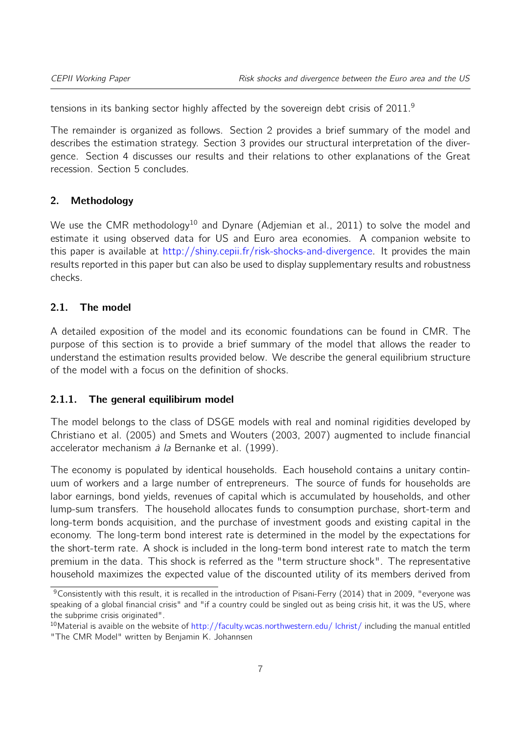tensions in its banking sector highly affected by the sovereign debt crisis of 2011.<sup>[9](#page-6-0)</sup>

The remainder is organized as follows. Section [2](#page-6-1) provides a brief summary of the model and describes the estimation strategy. Section [3](#page-12-0) provides our structural interpretation of the divergence. Section [4](#page-18-0) discusses our results and their relations to other explanations of the Great recession. Section [5](#page-21-0) concludes.

#### <span id="page-6-1"></span>2. Methodology

We use the CMR methodology<sup>[10](#page-6-2)</sup> and Dynare [\(Adjemian et al.,](#page-22-10) [2011\)](#page-22-10) to solve the model and estimate it using observed data for US and Euro area economies. A companion website to this paper is available at [http://shiny.cepii.fr/risk-shocks-and-divergence.](http://shiny.cepii.fr/risk-shocks-and-divergence) It provides the main results reported in this paper but can also be used to display supplementary results and robustness checks.

#### 2.1. The model

A detailed exposition of the model and its economic foundations can be found in CMR. The purpose of this section is to provide a brief summary of the model that allows the reader to understand the estimation results provided below. We describe the general equilibrium structure of the model with a focus on the definition of shocks.

#### 2.1.1. The general equilibirum model

The model belongs to the class of DSGE models with real and nominal rigidities developed by [Christiano et al.](#page-22-11) [\(2005\)](#page-22-11) and [Smets and Wouters](#page-24-6) [\(2003,](#page-24-6) [2007\)](#page-24-7) augmented to include financial accelerator mechanism à la [Bernanke et al.](#page-22-2) [\(1999\)](#page-22-2).

The economy is populated by identical households. Each household contains a unitary continuum of workers and a large number of entrepreneurs. The source of funds for households are labor earnings, bond yields, revenues of capital which is accumulated by households, and other lump-sum transfers. The household allocates funds to consumption purchase, short-term and long-term bonds acquisition, and the purchase of investment goods and existing capital in the economy. The long-term bond interest rate is determined in the model by the expectations for the short-term rate. A shock is included in the long-term bond interest rate to match the term premium in the data. This shock is referred as the "term structure shock". The representative household maximizes the expected value of the discounted utility of its members derived from

<span id="page-6-0"></span> $9$ Consistently with this result, it is recalled in the introduction of [Pisani-Ferry](#page-24-8) [\(2014\)](#page-24-8) that in 2009, "everyone was speaking of a global financial crisis" and "if a country could be singled out as being crisis hit, it was the US, where the subprime crisis originated".

<span id="page-6-2"></span> $10$ Material is avaible on the website of [http://faculty.wcas.northwestern.edu/ lchrist/](http://faculty.wcas.northwestern.edu/~lchrist/) including the manual entitled "The CMR Model" written by Benjamin K. Johannsen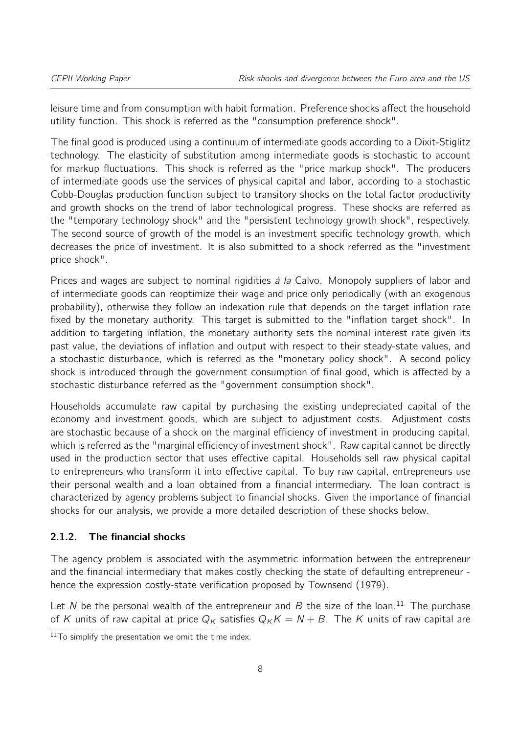leisure time and from consumption with habit formation. Preference shocks affect the household utility function. This shock is referred as the "consumption preference shock".

The final good is produced using a continuum of intermediate goods according to a Dixit-Stiglitz technology. The elasticity of substitution among intermediate goods is stochastic to account for markup fluctuations. This shock is referred as the "price markup shock". The producers of intermediate goods use the services of physical capital and labor, according to a stochastic Cobb-Douglas production function subject to transitory shocks on the total factor productivity and growth shocks on the trend of labor technological progress. These shocks are referred as the "temporary technology shock" and the "persistent technology growth shock", respectively. The second source of growth of the model is an investment specific technology growth, which decreases the price of investment. It is also submitted to a shock referred as the "investment price shock".

Prices and wages are subject to nominal rigidities à la Calvo. Monopoly suppliers of labor and of intermediate goods can reoptimize their wage and price only periodically (with an exogenous probability), otherwise they follow an indexation rule that depends on the target inflation rate fixed by the monetary authority. This target is submitted to the "inflation target shock". In addition to targeting inflation, the monetary authority sets the nominal interest rate given its past value, the deviations of inflation and output with respect to their steady-state values, and a stochastic disturbance, which is referred as the "monetary policy shock". A second policy shock is introduced through the government consumption of final good, which is affected by a stochastic disturbance referred as the "government consumption shock".

Households accumulate raw capital by purchasing the existing undepreciated capital of the economy and investment goods, which are subject to adjustment costs. Adjustment costs are stochastic because of a shock on the marginal efficiency of investment in producing capital, which is referred as the "marginal efficiency of investment shock". Raw capital cannot be directly used in the production sector that uses effective capital. Households sell raw physical capital to entrepreneurs who transform it into effective capital. To buy raw capital, entrepreneurs use their personal wealth and a loan obtained from a financial intermediary. The loan contract is characterized by agency problems subject to financial shocks. Given the importance of financial shocks for our analysis, we provide a more detailed description of these shocks below.

#### 2.1.2. The financial shocks

The agency problem is associated with the asymmetric information between the entrepreneur and the financial intermediary that makes costly checking the state of defaulting entrepreneur hence the expression costly-state verification proposed by [Townsend](#page-24-2) [\(1979\)](#page-24-2).

Let N be the personal wealth of the entrepreneur and B the size of the loan.<sup>[11](#page-7-0)</sup> The purchase of K units of raw capital at price  $Q_K$  satisfies  $Q_K K = N + B$ . The K units of raw capital are

<span id="page-7-0"></span> $11$ To simplify the presentation we omit the time index.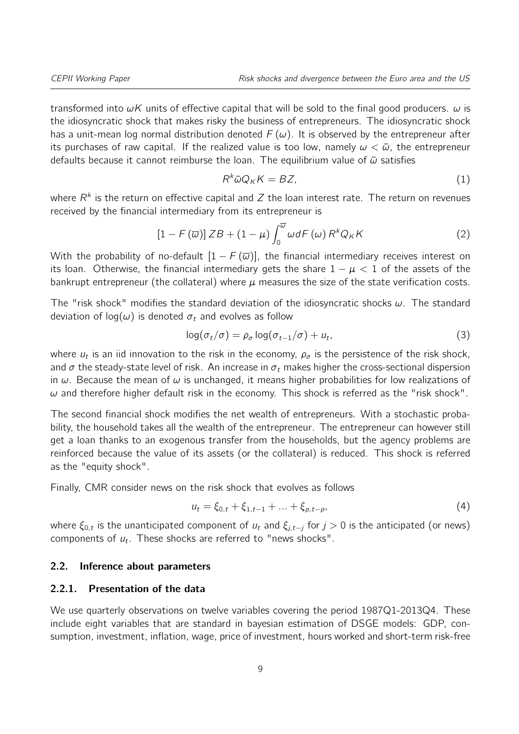transformed into  $\omega K$  units of effective capital that will be sold to the final good producers.  $\omega$  is the idiosyncratic shock that makes risky the business of entrepreneurs. The idiosyncratic shock has a unit-mean log normal distribution denoted  $F(\omega)$ . It is observed by the entrepreneur after its purchases of raw capital. If the realized value is too low, namely  $\omega < \bar{\omega}$ , the entrepreneur defaults because it cannot reimburse the loan. The equilibrium value of  $\bar{\omega}$  satisfies

$$
R^k \bar{\omega} Q_K K = BZ,\tag{1}
$$

where  $R^k$  is the return on effective capital and  $Z$  the loan interest rate. The return on revenues received by the financial intermediary from its entrepreneur is

$$
\left[1 - F\left(\overline{\omega}\right)\right] Z B + \left(1 - \mu\right) \int_0^{\overline{\omega}} \omega dF\left(\omega\right) R^k Q_K K \tag{2}
$$

With the probability of no-default  $[1 - F(\overline{\omega})]$ , the financial intermediary receives interest on its loan. Otherwise, the financial intermediary gets the share  $1 - \mu < 1$  of the assets of the bankrupt entrepreneur (the collateral) where  $\mu$  measures the size of the state verification costs.

The "risk shock" modifies the standard deviation of the idiosyncratic shocks  $\omega$ . The standard deviation of  $log(\omega)$  is denoted  $\sigma_t$  and evolves as follow

$$
\log(\sigma_t/\sigma) = \rho_\sigma \log(\sigma_{t-1}/\sigma) + u_t,\tag{3}
$$

where  $u_t$  is an iid innovation to the risk in the economy,  $\rho_\sigma$  is the persistence of the risk shock, and  $\sigma$  the steady-state level of risk. An increase in  $\sigma_t$  makes higher the cross-sectional dispersion in  $\omega$ . Because the mean of  $\omega$  is unchanged, it means higher probabilities for low realizations of  $\omega$  and therefore higher default risk in the economy. This shock is referred as the "risk shock".

The second financial shock modifies the net wealth of entrepreneurs. With a stochastic probability, the household takes all the wealth of the entrepreneur. The entrepreneur can however still get a loan thanks to an exogenous transfer from the households, but the agency problems are reinforced because the value of its assets (or the collateral) is reduced. This shock is referred as the "equity shock".

Finally, CMR consider news on the risk shock that evolves as follows

$$
u_t = \xi_{0,t} + \xi_{1,t-1} + \dots + \xi_{p,t-p},
$$
\n(4)

where  $\xi_{0,t}$  is the unanticipated component of  $u_t$  and  $\xi_{j,t-j}$  for  $j > 0$  is the anticipated (or news) components of  $u_t$ . These shocks are referred to "news shocks".

#### 2.2. Inference about parameters

#### 2.2.1. Presentation of the data

We use quarterly observations on twelve variables covering the period 1987Q1-2013Q4. These include eight variables that are standard in bayesian estimation of DSGE models: GDP, consumption, investment, inflation, wage, price of investment, hours worked and short-term risk-free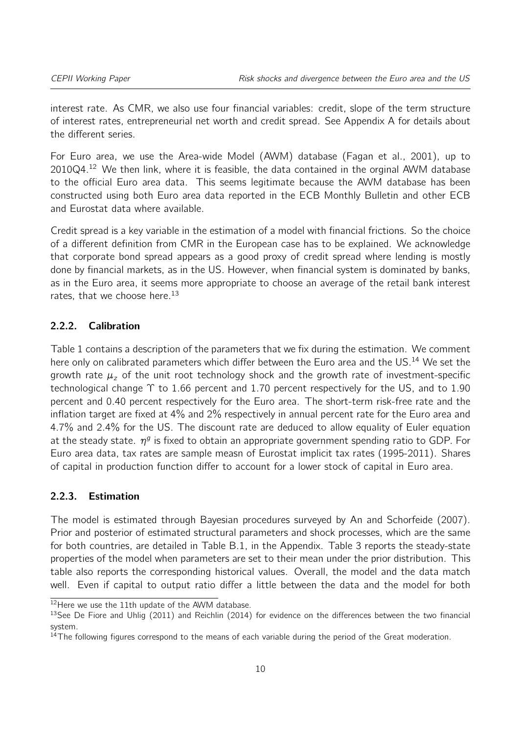interest rate. As CMR, we also use four financial variables: credit, slope of the term structure of interest rates, entrepreneurial net worth and credit spread. See Appendix [A](#page-25-0) for details about the different series.

For Euro area, we use the Area-wide Model (AWM) database [\(Fagan et al.,](#page-23-10) [2001\)](#page-23-10), up to  $2010Q4.<sup>12</sup>$  $2010Q4.<sup>12</sup>$  $2010Q4.<sup>12</sup>$  We then link, where it is feasible, the data contained in the orginal AWM database to the official Euro area data. This seems legitimate because the AWM database has been constructed using both Euro area data reported in the ECB Monthly Bulletin and other ECB and Eurostat data where available.

Credit spread is a key variable in the estimation of a model with financial frictions. So the choice of a different definition from CMR in the European case has to be explained. We acknowledge that corporate bond spread appears as a good proxy of credit spread where lending is mostly done by financial markets, as in the US. However, when financial system is dominated by banks, as in the Euro area, it seems more appropriate to choose an average of the retail bank interest rates, that we choose here.<sup>[13](#page-9-1)</sup>

#### 2.2.2. Calibration

Table [1](#page-10-0) contains a description of the parameters that we fix during the estimation. We comment here only on calibrated parameters which differ between the Euro area and the US.<sup>[14](#page-9-2)</sup> We set the growth rate  $\mu_z$  of the unit root technology shock and the growth rate of investment-specific technological change  $\Upsilon$  to 1.66 percent and 1.70 percent respectively for the US, and to 1.90 percent and 0.40 percent respectively for the Euro area. The short-term risk-free rate and the inflation target are fixed at 4% and 2% respectively in annual percent rate for the Euro area and 4.7% and 2.4% for the US. The discount rate are deduced to allow equality of Euler equation at the steady state.  $\eta^g$  is fixed to obtain an appropriate government spending ratio to GDP. For Euro area data, tax rates are sample measn of Eurostat implicit tax rates (1995-2011). Shares of capital in production function differ to account for a lower stock of capital in Euro area.

#### 2.2.3. Estimation

The model is estimated through Bayesian procedures surveyed by [An and Schorfeide](#page-22-12) [\(2007\)](#page-22-12). Prior and posterior of estimated structural parameters and shock processes, which are the same for both countries, are detailed in Table [B.1,](#page-28-0) in the Appendix. Table [3](#page-12-1) reports the steady-state properties of the model when parameters are set to their mean under the prior distribution. This table also reports the corresponding historical values. Overall, the model and the data match well. Even if capital to output ratio differ a little between the data and the model for both

<span id="page-9-0"></span><sup>&</sup>lt;sup>12</sup>Here we use the 11th update of the AWM database.

<span id="page-9-1"></span><sup>&</sup>lt;sup>13</sup>See [De Fiore and Uhlig](#page-23-11) [\(2011\)](#page-23-11) and [Reichlin](#page-24-9) [\(2014\)](#page-24-9) for evidence on the differences between the two financial system.

<span id="page-9-2"></span><sup>&</sup>lt;sup>14</sup>The following figures correspond to the means of each variable during the period of the Great moderation.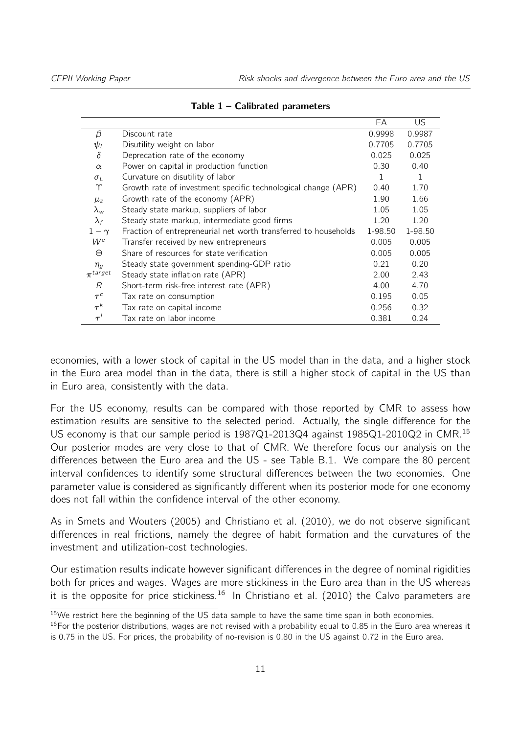<span id="page-10-0"></span>

|                |                                                                 | EA      | US.     |
|----------------|-----------------------------------------------------------------|---------|---------|
| β              | Discount rate                                                   | 0.9998  | 0.9987  |
| $\psi_L$       | Disutility weight on labor                                      | 0.7705  | 0.7705  |
| $\delta$       | Deprecation rate of the economy                                 | 0.025   | 0.025   |
| $\alpha$       | Power on capital in production function                         | 0.30    | 0.40    |
| $\sigma_I$     | Curvature on disutility of labor                                | 1       | 1       |
| Υ              | Growth rate of investment specific technological change (APR)   | 0.40    | 1.70    |
| $\mu_z$        | Growth rate of the economy (APR)                                | 1.90    | 1.66    |
| $\lambda_{w}$  | Steady state markup, suppliers of labor                         | 1.05    | 1.05    |
| $\lambda_f$    | Steady state markup, intermediate good firms                    | 1.20    | 1.20    |
| $1-\gamma$     | Fraction of entrepreneurial net worth transferred to households | 1-98.50 | 1-98.50 |
| $W^e$          | Transfer received by new entrepreneurs                          | 0.005   | 0.005   |
| $\Theta$       | Share of resources for state verification                       | 0.005   | 0.005   |
| $\eta_q$       | Steady state government spending-GDP ratio                      | 0.21    | 0.20    |
| $\pi^{target}$ | Steady state inflation rate (APR)                               | 2.00    | 2.43    |
| R              | Short-term risk-free interest rate (APR)                        | 4.00    | 4.70    |
| $\tau^c$       | Tax rate on consumption                                         | 0.195   | 0.05    |
| $\tau^{k}$     | Tax rate on capital income                                      | 0.256   | 0.32    |
| $\tau'$        | Tax rate on labor income                                        | 0.381   | 0.24    |

Table  $1 -$  Calibrated parameters

economies, with a lower stock of capital in the US model than in the data, and a higher stock in the Euro area model than in the data, there is still a higher stock of capital in the US than in Euro area, consistently with the data.

For the US economy, results can be compared with those reported by CMR to assess how estimation results are sensitive to the selected period. Actually, the single difference for the US economy is that our sample period is 1987Q1-2013Q4 against 1985Q1-2010Q2 in CMR.[15](#page-10-1) Our posterior modes are very close to that of CMR. We therefore focus our analysis on the differences between the Euro area and the US - see Table [B.1.](#page-28-0) We compare the 80 percent interval confidences to identify some structural differences between the two economies. One parameter value is considered as significantly different when its posterior mode for one economy does not fall within the confidence interval of the other economy.

As in [Smets and Wouters](#page-24-3) [\(2005\)](#page-24-3) and [Christiano et al.](#page-22-7) [\(2010\)](#page-22-7), we do not observe significant differences in real frictions, namely the degree of habit formation and the curvatures of the investment and utilization-cost technologies.

Our estimation results indicate however significant differences in the degree of nominal rigidities both for prices and wages. Wages are more stickiness in the Euro area than in the US whereas it is the opposite for price stickiness.<sup>[16](#page-10-2)</sup> In [Christiano et al.](#page-22-7) [\(2010\)](#page-22-7) the Calvo parameters are

<span id="page-10-1"></span> $15$ We restrict here the beginning of the US data sample to have the same time span in both economies.

<span id="page-10-2"></span> $16$ For the posterior distributions, wages are not revised with a probability equal to 0.85 in the Euro area whereas it is 0.75 in the US. For prices, the probability of no-revision is 0.80 in the US against 0.72 in the Euro area.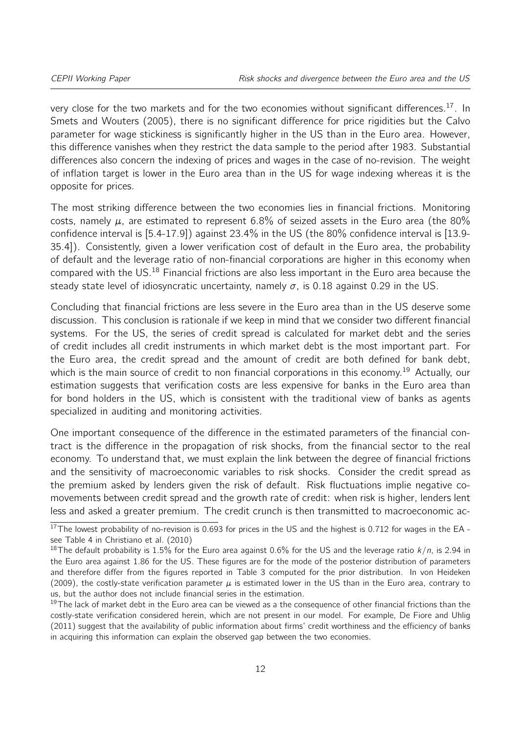very close for the two markets and for the two economies without significant differences.<sup>[17](#page-11-0)</sup>. In [Smets and Wouters](#page-24-3) [\(2005\)](#page-24-3), there is no significant difference for price rigidities but the Calvo parameter for wage stickiness is significantly higher in the US than in the Euro area. However, this difference vanishes when they restrict the data sample to the period after 1983. Substantial differences also concern the indexing of prices and wages in the case of no-revision. The weight of inflation target is lower in the Euro area than in the US for wage indexing whereas it is the opposite for prices.

The most striking difference between the two economies lies in financial frictions. Monitoring costs, namely  $\mu$ , are estimated to represent 6.8% of seized assets in the Euro area (the 80% confidence interval is [5.4-17.9]) against 23.4% in the US (the 80% confidence interval is [13.9- 35.4]). Consistently, given a lower verification cost of default in the Euro area, the probability of default and the leverage ratio of non-financial corporations are higher in this economy when compared with the US.[18](#page-11-1) Financial frictions are also less important in the Euro area because the steady state level of idiosyncratic uncertainty, namely  $\sigma$ , is 0.18 against 0.29 in the US.

Concluding that financial frictions are less severe in the Euro area than in the US deserve some discussion. This conclusion is rationale if we keep in mind that we consider two different financial systems. For the US, the series of credit spread is calculated for market debt and the series of credit includes all credit instruments in which market debt is the most important part. For the Euro area, the credit spread and the amount of credit are both defined for bank debt, which is the main source of credit to non financial corporations in this economy.<sup>[19](#page-11-2)</sup> Actually, our estimation suggests that verification costs are less expensive for banks in the Euro area than for bond holders in the US, which is consistent with the traditional view of banks as agents specialized in auditing and monitoring activities.

One important consequence of the difference in the estimated parameters of the financial contract is the difference in the propagation of risk shocks, from the financial sector to the real economy. To understand that, we must explain the link between the degree of financial frictions and the sensitivity of macroeconomic variables to risk shocks. Consider the credit spread as the premium asked by lenders given the risk of default. Risk fluctuations implie negative comovements between credit spread and the growth rate of credit: when risk is higher, lenders lent less and asked a greater premium. The credit crunch is then transmitted to macroeconomic ac-

<span id="page-11-0"></span> $17$ The lowest probability of no-revision is 0.693 for prices in the US and the highest is 0.712 for wages in the EA see Table 4 in [Christiano et al.](#page-22-7) [\(2010\)](#page-22-7)

<span id="page-11-1"></span><sup>&</sup>lt;sup>18</sup>The default probability is 1.5% for the Euro area against 0.6% for the US and the leverage ratio  $k/n$ , is 2.94 in the Euro area against 1.86 for the US. These figures are for the mode of the posterior distribution of parameters and therefore differ from the figures reported in Table [3](#page-12-1) computed for the prior distribution. In [von Heideken](#page-24-10) [\(2009\)](#page-24-10), the costly-state verification parameter  $\mu$  is estimated lower in the US than in the Euro area, contrary to us, but the author does not include financial series in the estimation.

<span id="page-11-2"></span> $19$ The lack of market debt in the Euro area can be viewed as a the consequence of other financial frictions than the costly-state verification considered herein, which are not present in our model. For example, [De Fiore and Uhlig](#page-23-11) [\(2011\)](#page-23-11) suggest that the availability of public information about firms' credit worthiness and the efficiency of banks in acquiring this information can explain the observed gap between the two economies.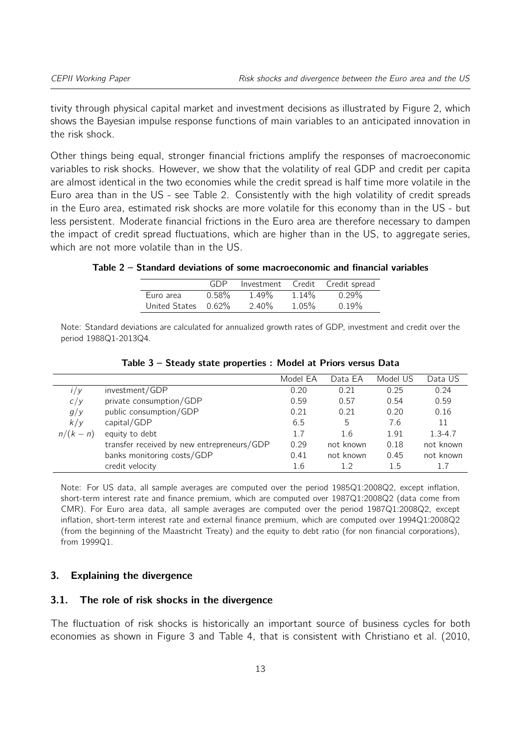tivity through physical capital market and investment decisions as illustrated by Figure [2,](#page-13-0) which shows the Bayesian impulse response functions of main variables to an anticipated innovation in the risk shock.

Other things being equal, stronger financial frictions amplify the responses of macroeconomic variables to risk shocks. However, we show that the volatility of real GDP and credit per capita are almost identical in the two economies while the credit spread is half time more volatile in the Euro area than in the US - see Table [2.](#page-12-2) Consistently with the high volatility of credit spreads in the Euro area, estimated risk shocks are more volatile for this economy than in the US - but less persistent. Moderate financial frictions in the Euro area are therefore necessary to dampen the impact of credit spread fluctuations, which are higher than in the US, to aggregate series, which are not more volatile than in the US.

<span id="page-12-2"></span>

| Table 2 – Standard deviations of some macroeconomic and financial variables |  |  |  |
|-----------------------------------------------------------------------------|--|--|--|
|-----------------------------------------------------------------------------|--|--|--|

|                     | GDP   |          |          | Investment Credit Credit spread |
|---------------------|-------|----------|----------|---------------------------------|
| Euro area           | 0.58% | 1.49%    | 1.14%    | $0.29\%$                        |
| United States 0.62% |       | $2.40\%$ | $1.05\%$ | $0.19\%$                        |

Note: Standard deviations are calculated for annualized growth rates of GDP, investment and credit over the period 1988Q1-2013Q4.

<span id="page-12-1"></span>

|           |                                            | Model EA | Data EA   | Model US | Data US     |
|-----------|--------------------------------------------|----------|-----------|----------|-------------|
| 1/y       | investment/GDP                             | 0.20     | 0.21      | 0.25     | 0.24        |
| C/y       | private consumption/GDP                    | 0.59     | 0.57      | 0.54     | 0.59        |
| g/y       | public consumption/GDP                     | 0.21     | 0.21      | 0.20     | 0.16        |
| k/y       | capital/GDP                                | 6.5      | 5         | 7.6      | 11          |
| $n/(k-n)$ | equity to debt                             | 1.7      | 1.6       | 1.91     | $1.3 - 4.7$ |
|           | transfer received by new entrepreneurs/GDP | 0.29     | not known | 0.18     | not known   |
|           | banks monitoring costs/GDP                 | 0.41     | not known | 0.45     | not known   |
|           | credit velocity                            | 1.6      | 12        | 1.5      | 1.7         |

Table 3 – Steady state properties : Model at Priors versus Data

Note: For US data, all sample averages are computed over the period 1985Q1:2008Q2, except inflation, short-term interest rate and finance premium, which are computed over 1987Q1:2008Q2 (data come from CMR). For Euro area data, all sample averages are computed over the period 1987Q1:2008Q2, except inflation, short-term interest rate and external finance premium, which are computed over 1994Q1:2008Q2 (from the beginning of the Maastricht Treaty) and the equity to debt ratio (for non financial corporations), from 1999Q1.

#### <span id="page-12-0"></span>3. Explaining the divergence

#### 3.1. The role of risk shocks in the divergence

The fluctuation of risk shocks is historically an important source of business cycles for both economies as shown in Figure [3](#page-14-0) and Table [4,](#page-15-0) that is consistent with [Christiano et al.](#page-22-7) [\(2010,](#page-22-7)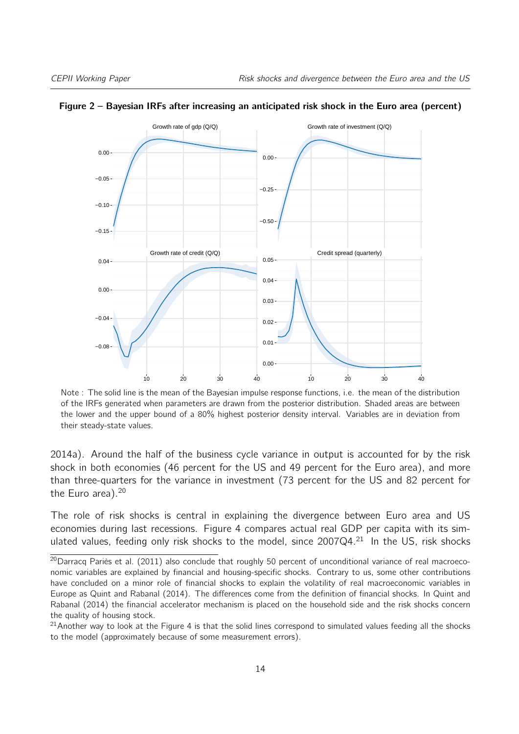

#### <span id="page-13-0"></span>Figure 2 – Bayesian IRFs after increasing an anticipated risk shock in the Euro area (percent)

Note : The solid line is the mean of the Bayesian impulse response functions, i.e. the mean of the distribution of the IRFs generated when parameters are drawn from the posterior distribution. Shaded areas are between the lower and the upper bound of a 80% highest posterior density interval. Variables are in deviation from their steady-state values.

[2014a\)](#page-22-0). Around the half of the business cycle variance in output is accounted for by the risk shock in both economies (46 percent for the US and 49 percent for the Euro area), and more than three-quarters for the variance in investment (73 percent for the US and 82 percent for the Euro area). $20$ 

The role of risk shocks is central in explaining the divergence between Euro area and US economies during last recessions. Figure [4](#page-16-0) compares actual real GDP per capita with its simulated values, feeding only risk shocks to the model, since  $2007Q4.<sup>21</sup>$  $2007Q4.<sup>21</sup>$  $2007Q4.<sup>21</sup>$  In the US, risk shocks

<span id="page-13-1"></span> $20$ [Darracq Pariès et al.](#page-23-7) [\(2011\)](#page-23-7) also conclude that roughly 50 percent of unconditional variance of real macroeconomic variables are explained by financial and housing-specific shocks. Contrary to us, some other contributions have concluded on a minor role of financial shocks to explain the volatility of real macroeconomic variables in Europe as [Quint and Rabanal](#page-24-11) [\(2014\)](#page-24-11). The differences come from the definition of financial shocks. In [Quint and](#page-24-11) [Rabanal](#page-24-11) [\(2014\)](#page-24-11) the financial accelerator mechanism is placed on the household side and the risk shocks concern the quality of housing stock.

<span id="page-13-2"></span> $^{21}$ Another way to look at the Figure [4](#page-16-0) is that the solid lines correspond to simulated values feeding all the shocks to the model (approximately because of some measurement errors).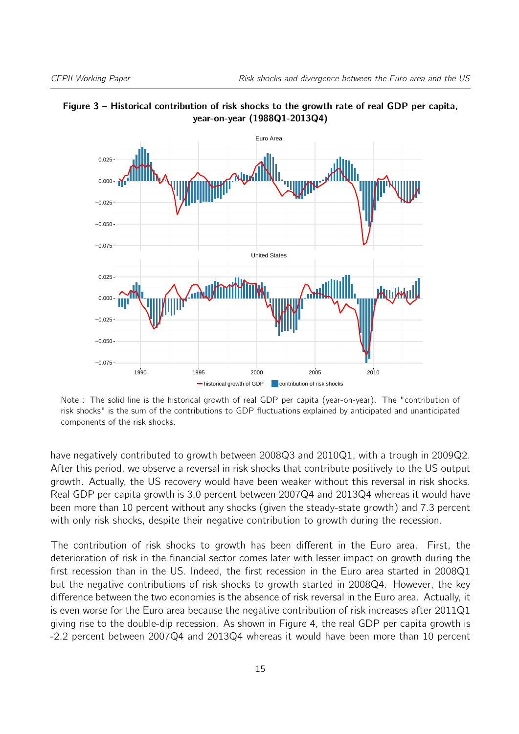

<span id="page-14-0"></span>

Note : The solid line is the historical growth of real GDP per capita (year-on-year). The "contribution of risk shocks" is the sum of the contributions to GDP fluctuations explained by anticipated and unanticipated components of the risk shocks.

have negatively contributed to growth between 2008Q3 and 2010Q1, with a trough in 2009Q2. After this period, we observe a reversal in risk shocks that contribute positively to the US output growth. Actually, the US recovery would have been weaker without this reversal in risk shocks. Real GDP per capita growth is 3.0 percent between 2007Q4 and 2013Q4 whereas it would have been more than 10 percent without any shocks (given the steady-state growth) and 7.3 percent with only risk shocks, despite their negative contribution to growth during the recession.

The contribution of risk shocks to growth has been different in the Euro area. First, the deterioration of risk in the financial sector comes later with lesser impact on growth during the first recession than in the US. Indeed, the first recession in the Euro area started in 2008Q1 but the negative contributions of risk shocks to growth started in 2008Q4. However, the key difference between the two economies is the absence of risk reversal in the Euro area. Actually, it is even worse for the Euro area because the negative contribution of risk increases after 2011Q1 giving rise to the double-dip recession. As shown in Figure [4,](#page-16-0) the real GDP per capita growth is -2.2 percent between 2007Q4 and 2013Q4 whereas it would have been more than 10 percent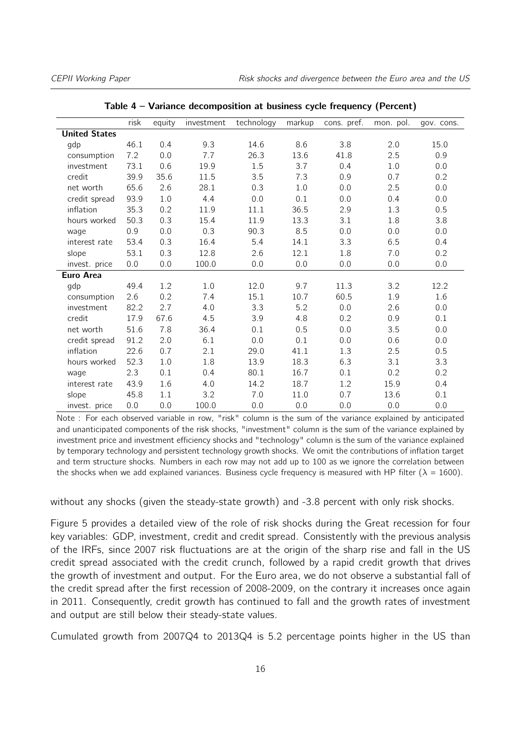<span id="page-15-0"></span>

|                      | risk | equity  | investment | technology | markup | cons. pref. | mon. pol. | gov. cons. |
|----------------------|------|---------|------------|------------|--------|-------------|-----------|------------|
| <b>United States</b> |      |         |            |            |        |             |           |            |
| gdp                  | 46.1 | 0.4     | 9.3        | 14.6       | 8.6    | 3.8         | 2.0       | 15.0       |
| consumption          | 7.2  | 0.0     | 7.7        | 26.3       | 13.6   | 41.8        | 2.5       | 0.9        |
| investment           | 73.1 | 0.6     | 19.9       | 1.5        | 3.7    | 0.4         | 1.0       | 0.0        |
| credit               | 39.9 | 35.6    | 11.5       | 3.5        | 7.3    | 0.9         | 0.7       | 0.2        |
| net worth            | 65.6 | 2.6     | 28.1       | 0.3        | 1.0    | 0.0         | 2.5       | 0.0        |
| credit spread        | 93.9 | $1.0\,$ | 4.4        | 0.0        | 0.1    | 0.0         | 0.4       | 0.0        |
| inflation            | 35.3 | 0.2     | 11.9       | 11.1       | 36.5   | 2.9         | 1.3       | 0.5        |
| hours worked         | 50.3 | 0.3     | 15.4       | 11.9       | 13.3   | 3.1         | 1.8       | 3.8        |
| wage                 | 0.9  | 0.0     | 0.3        | 90.3       | 8.5    | 0.0         | 0.0       | 0.0        |
| interest rate        | 53.4 | 0.3     | 16.4       | 5.4        | 14.1   | 3.3         | 6.5       | 0.4        |
| slope                | 53.1 | 0.3     | 12.8       | 2.6        | 12.1   | 1.8         | 7.0       | 0.2        |
| invest. price        | 0.0  | 0.0     | 100.0      | 0.0        | 0.0    | 0.0         | 0.0       | 0.0        |
| <b>Euro Area</b>     |      |         |            |            |        |             |           |            |
| gdp                  | 49.4 | 1.2     | 1.0        | 12.0       | 9.7    | 11.3        | 3.2       | 12.2       |
| consumption          | 2.6  | 0.2     | 7.4        | 15.1       | 10.7   | 60.5        | 1.9       | 1.6        |
| investment           | 82.2 | 2.7     | 4.0        | 3.3        | 5.2    | 0.0         | 2.6       | 0.0        |
| credit               | 17.9 | 67.6    | 4.5        | 3.9        | 4.8    | 0.2         | 0.9       | 0.1        |
| net worth            | 51.6 | 7.8     | 36.4       | 0.1        | 0.5    | 0.0         | 3.5       | 0.0        |
| credit spread        | 91.2 | 2.0     | 6.1        | 0.0        | 0.1    | 0.0         | 0.6       | 0.0        |
| inflation            | 22.6 | 0.7     | 2.1        | 29.0       | 41.1   | 1.3         | 2.5       | 0.5        |
| hours worked         | 52.3 | 1.0     | 1.8        | 13.9       | 18.3   | 6.3         | 3.1       | 3.3        |
| wage                 | 2.3  | 0.1     | 0.4        | 80.1       | 16.7   | 0.1         | 0.2       | 0.2        |
| interest rate        | 43.9 | 1.6     | 4.0        | 14.2       | 18.7   | 1.2         | 15.9      | 0.4        |
| slope                | 45.8 | 1.1     | 3.2        | 7.0        | 11.0   | 0.7         | 13.6      | 0.1        |
| invest. price        | 0.0  | 0.0     | 100.0      | 0.0        | 0.0    | 0.0         | 0.0       | 0.0        |

Table 4 – Variance decomposition at business cycle frequency (Percent)

Note : For each observed variable in row, "risk" column is the sum of the variance explained by anticipated and unanticipated components of the risk shocks, "investment" column is the sum of the variance explained by investment price and investment efficiency shocks and "technology" column is the sum of the variance explained by temporary technology and persistent technology growth shocks. We omit the contributions of inflation target and term structure shocks. Numbers in each row may not add up to 100 as we ignore the correlation between the shocks when we add explained variances. Business cycle frequency is measured with HP filter ( $\lambda = 1600$ ).

without any shocks (given the steady-state growth) and -3.8 percent with only risk shocks.

Figure [5](#page-17-0) provides a detailed view of the role of risk shocks during the Great recession for four key variables: GDP, investment, credit and credit spread. Consistently with the previous analysis of the IRFs, since 2007 risk fluctuations are at the origin of the sharp rise and fall in the US credit spread associated with the credit crunch, followed by a rapid credit growth that drives the growth of investment and output. For the Euro area, we do not observe a substantial fall of the credit spread after the first recession of 2008-2009, on the contrary it increases once again in 2011. Consequently, credit growth has continued to fall and the growth rates of investment and output are still below their steady-state values.

Cumulated growth from 2007Q4 to 2013Q4 is 5.2 percentage points higher in the US than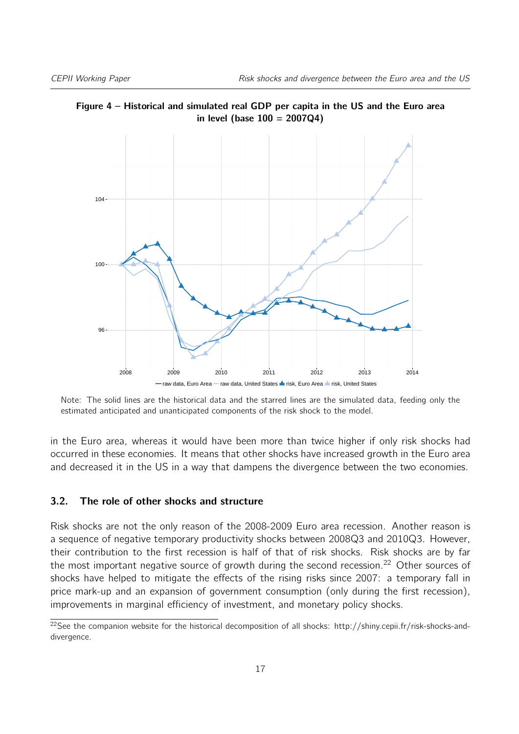

<span id="page-16-0"></span>Figure 4 – Historical and simulated real GDP per capita in the US and the Euro area in level (base  $100 = 2007Q4$ )

Note: The solid lines are the historical data and the starred lines are the simulated data, feeding only the estimated anticipated and unanticipated components of the risk shock to the model.

in the Euro area, whereas it would have been more than twice higher if only risk shocks had occurred in these economies. It means that other shocks have increased growth in the Euro area and decreased it in the US in a way that dampens the divergence between the two economies.

#### 3.2. The role of other shocks and structure

Risk shocks are not the only reason of the 2008-2009 Euro area recession. Another reason is a sequence of negative temporary productivity shocks between 2008Q3 and 2010Q3. However, their contribution to the first recession is half of that of risk shocks. Risk shocks are by far the most important negative source of growth during the second recession.<sup>[22](#page-16-1)</sup> Other sources of shocks have helped to mitigate the effects of the rising risks since 2007: a temporary fall in price mark-up and an expansion of government consumption (only during the first recession), improvements in marginal efficiency of investment, and monetary policy shocks.

<span id="page-16-1"></span> $22$ See the companion website for the historical decomposition of all shocks: http://shiny.cepii.fr/risk-shocks-anddivergence.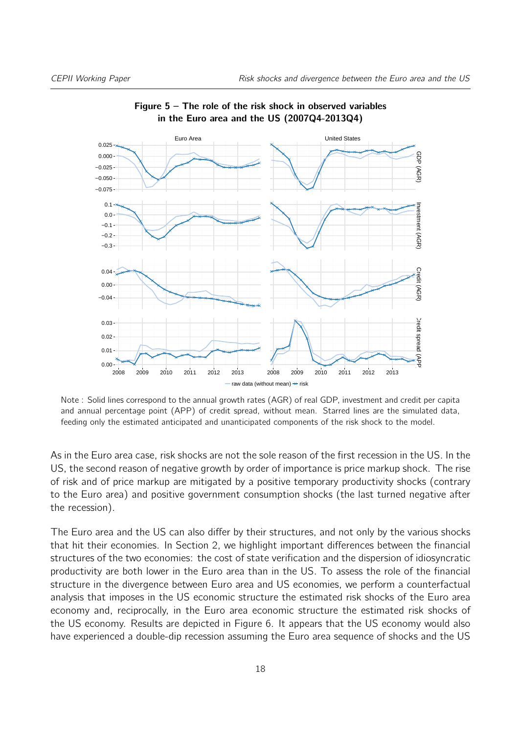<span id="page-17-0"></span>

Figure  $5 -$  The role of the risk shock in observed variables in the Euro area and the US (2007Q4-2013Q4)

Note : Solid lines correspond to the annual growth rates (AGR) of real GDP, investment and credit per capita and annual percentage point (APP) of credit spread, without mean. Starred lines are the simulated data, feeding only the estimated anticipated and unanticipated components of the risk shock to the model.

As in the Euro area case, risk shocks are not the sole reason of the first recession in the US. In the US, the second reason of negative growth by order of importance is price markup shock. The rise of risk and of price markup are mitigated by a positive temporary productivity shocks (contrary to the Euro area) and positive government consumption shocks (the last turned negative after the recession).

The Euro area and the US can also differ by their structures, and not only by the various shocks that hit their economies. In Section [2,](#page-6-1) we highlight important differences between the financial structures of the two economies: the cost of state verification and the dispersion of idiosyncratic productivity are both lower in the Euro area than in the US. To assess the role of the financial structure in the divergence between Euro area and US economies, we perform a counterfactual analysis that imposes in the US economic structure the estimated risk shocks of the Euro area economy and, reciprocally, in the Euro area economic structure the estimated risk shocks of the US economy. Results are depicted in Figure [6.](#page-18-1) It appears that the US economy would also have experienced a double-dip recession assuming the Euro area sequence of shocks and the US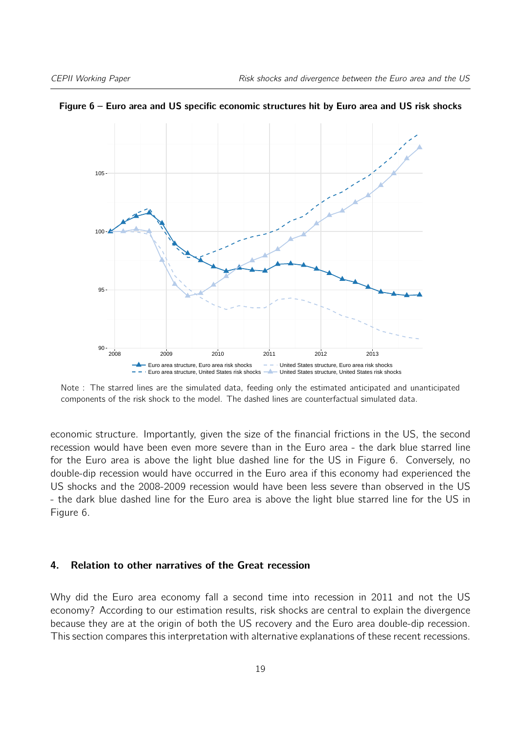

<span id="page-18-1"></span>Figure 6 – Euro area and US specific economic structures hit by Euro area and US risk shocks

Note : The starred lines are the simulated data, feeding only the estimated anticipated and unanticipated components of the risk shock to the model. The dashed lines are counterfactual simulated data.

economic structure. Importantly, given the size of the financial frictions in the US, the second recession would have been even more severe than in the Euro area - the dark blue starred line for the Euro area is above the light blue dashed line for the US in Figure [6.](#page-18-1) Conversely, no double-dip recession would have occurred in the Euro area if this economy had experienced the US shocks and the 2008-2009 recession would have been less severe than observed in the US - the dark blue dashed line for the Euro area is above the light blue starred line for the US in Figure [6.](#page-18-1)

#### <span id="page-18-0"></span>4. Relation to other narratives of the Great recession

Why did the Euro area economy fall a second time into recession in 2011 and not the US economy? According to our estimation results, risk shocks are central to explain the divergence because they are at the origin of both the US recovery and the Euro area double-dip recession. This section compares this interpretation with alternative explanations of these recent recessions.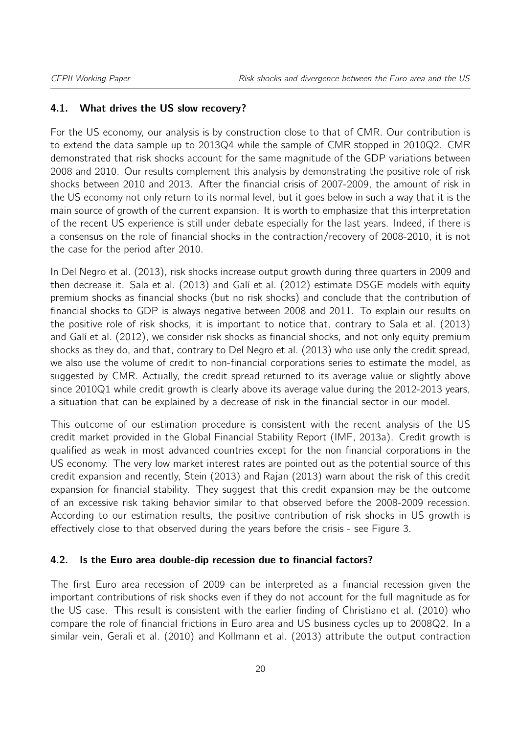#### 4.1. What drives the US slow recovery?

For the US economy, our analysis is by construction close to that of CMR. Our contribution is to extend the data sample up to 2013Q4 while the sample of CMR stopped in 2010Q2. CMR demonstrated that risk shocks account for the same magnitude of the GDP variations between 2008 and 2010. Our results complement this analysis by demonstrating the positive role of risk shocks between 2010 and 2013. After the financial crisis of 2007-2009, the amount of risk in the US economy not only return to its normal level, but it goes below in such a way that it is the main source of growth of the current expansion. It is worth to emphasize that this interpretation of the recent US experience is still under debate especially for the last years. Indeed, if there is a consensus on the role of financial shocks in the contraction/recovery of 2008-2010, it is not the case for the period after 2010.

In [Del Negro et al.](#page-23-6) [\(2013\)](#page-23-6), risk shocks increase output growth during three quarters in 2009 and then decrease it. [Sala et al.](#page-24-4) [\(2013\)](#page-24-4) and [Galí et al.](#page-23-0) [\(2012\)](#page-23-0) estimate DSGE models with equity premium shocks as financial shocks (but no risk shocks) and conclude that the contribution of financial shocks to GDP is always negative between 2008 and 2011. To explain our results on the positive role of risk shocks, it is important to notice that, contrary to [Sala et al.](#page-24-4) [\(2013\)](#page-24-4) and [Galí et al.](#page-23-0) [\(2012\)](#page-23-0), we consider risk shocks as financial shocks, and not only equity premium shocks as they do, and that, contrary to [Del Negro et al.](#page-23-6) [\(2013\)](#page-23-6) who use only the credit spread, we also use the volume of credit to non-financial corporations series to estimate the model, as suggested by CMR. Actually, the credit spread returned to its average value or slightly above since 2010Q1 while credit growth is clearly above its average value during the 2012-2013 years, a situation that can be explained by a decrease of risk in the financial sector in our model.

This outcome of our estimation procedure is consistent with the recent analysis of the US credit market provided in the Global Financial Stability Report [\(IMF,](#page-23-12) [2013a\)](#page-23-12). Credit growth is qualified as weak in most advanced countries except for the non financial corporations in the US economy. The very low market interest rates are pointed out as the potential source of this credit expansion and recently, [Stein](#page-24-12) [\(2013\)](#page-24-12) and [Rajan](#page-24-13) [\(2013\)](#page-24-13) warn about the risk of this credit expansion for financial stability. They suggest that this credit expansion may be the outcome of an excessive risk taking behavior similar to that observed before the 2008-2009 recession. According to our estimation results, the positive contribution of risk shocks in US growth is effectively close to that observed during the years before the crisis - see Figure [3.](#page-14-0)

#### 4.2. Is the Euro area double-dip recession due to financial factors?

The first Euro area recession of 2009 can be interpreted as a financial recession given the important contributions of risk shocks even if they do not account for the full magnitude as for the US case. This result is consistent with the earlier finding of [Christiano et al.](#page-22-7) [\(2010\)](#page-22-7) who compare the role of financial frictions in Euro area and US business cycles up to 2008Q2. In a similar vein, [Gerali et al.](#page-23-13) [\(2010\)](#page-23-13) and [Kollmann et al.](#page-23-9) [\(2013\)](#page-23-9) attribute the output contraction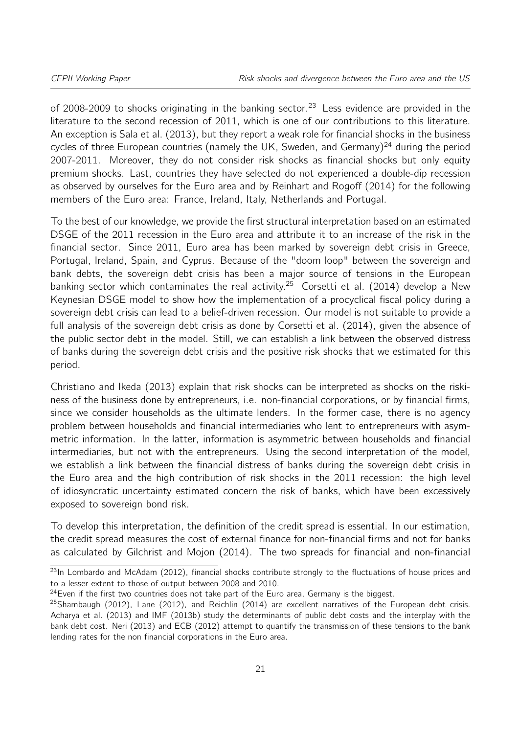of 2008-2009 to shocks originating in the banking sector.<sup>[23](#page-20-0)</sup> Less evidence are provided in the literature to the second recession of 2011, which is one of our contributions to this literature. An exception is [Sala et al.](#page-24-4) [\(2013\)](#page-24-4), but they report a weak role for financial shocks in the business cycles of three European countries (namely the UK, Sweden, and Germany)<sup>[24](#page-20-1)</sup> during the period 2007-2011. Moreover, they do not consider risk shocks as financial shocks but only equity premium shocks. Last, countries they have selected do not experienced a double-dip recession as observed by ourselves for the Euro area and by [Reinhart and Rogoff](#page-24-0) [\(2014\)](#page-24-0) for the following members of the Euro area: France, Ireland, Italy, Netherlands and Portugal.

To the best of our knowledge, we provide the first structural interpretation based on an estimated DSGE of the 2011 recession in the Euro area and attribute it to an increase of the risk in the financial sector. Since 2011, Euro area has been marked by sovereign debt crisis in Greece, Portugal, Ireland, Spain, and Cyprus. Because of the "doom loop" between the sovereign and bank debts, the sovereign debt crisis has been a major source of tensions in the European banking sector which contaminates the real activity.<sup>[25](#page-20-2)</sup> [Corsetti et al.](#page-22-13) [\(2014\)](#page-22-13) develop a New Keynesian DSGE model to show how the implementation of a procyclical fiscal policy during a sovereign debt crisis can lead to a belief-driven recession. Our model is not suitable to provide a full analysis of the sovereign debt crisis as done by [Corsetti et al.](#page-22-13) [\(2014\)](#page-22-13), given the absence of the public sector debt in the model. Still, we can establish a link between the observed distress of banks during the sovereign debt crisis and the positive risk shocks that we estimated for this period.

[Christiano and Ikeda](#page-22-14) [\(2013\)](#page-22-14) explain that risk shocks can be interpreted as shocks on the riskiness of the business done by entrepreneurs, i.e. non-financial corporations, or by financial firms, since we consider households as the ultimate lenders. In the former case, there is no agency problem between households and financial intermediaries who lent to entrepreneurs with asymmetric information. In the latter, information is asymmetric between households and financial intermediaries, but not with the entrepreneurs. Using the second interpretation of the model, we establish a link between the financial distress of banks during the sovereign debt crisis in the Euro area and the high contribution of risk shocks in the 2011 recession: the high level of idiosyncratic uncertainty estimated concern the risk of banks, which have been excessively exposed to sovereign bond risk.

To develop this interpretation, the definition of the credit spread is essential. In our estimation, the credit spread measures the cost of external finance for non-financial firms and not for banks as calculated by [Gilchrist and Mojon](#page-23-14) [\(2014\)](#page-23-14). The two spreads for financial and non-financial

<span id="page-20-0"></span> $23$ In [Lombardo and McAdam](#page-23-8) [\(2012\)](#page-23-8), financial shocks contribute strongly to the fluctuations of house prices and to a lesser extent to those of output between 2008 and 2010.

<span id="page-20-1"></span> $24$  Even if the first two countries does not take part of the Euro area, Germany is the biggest.

<span id="page-20-2"></span> $^{25}$ [Shambaugh](#page-24-14) [\(2012\)](#page-23-15), [Lane](#page-23-15) (2012), and [Reichlin](#page-24-9) [\(2014\)](#page-24-9) are excellent narratives of the European debt crisis. [Acharya et al.](#page-22-15) [\(2013\)](#page-22-15) and [IMF](#page-23-16) [\(2013b\)](#page-23-16) study the determinants of public debt costs and the interplay with the bank debt cost. [Neri](#page-24-15) [\(2013\)](#page-24-15) and [ECB](#page-23-17) [\(2012\)](#page-23-17) attempt to quantify the transmission of these tensions to the bank lending rates for the non financial corporations in the Euro area.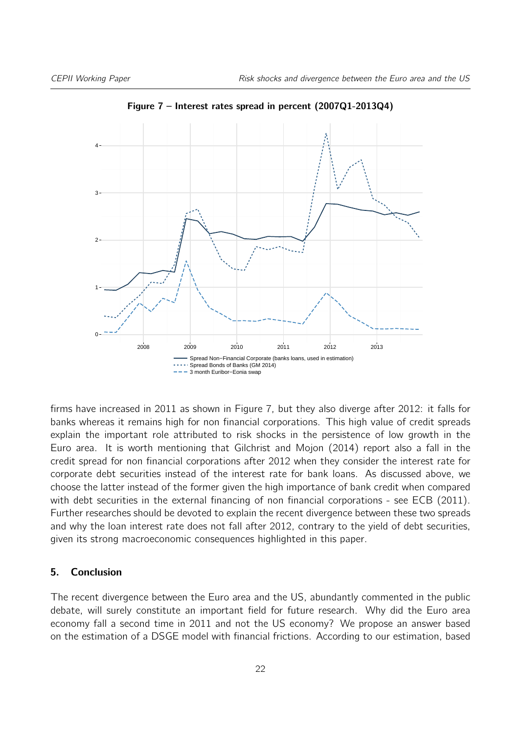<span id="page-21-1"></span>

Figure 7 – Interest rates spread in percent (2007Q1-2013Q4)

firms have increased in 2011 as shown in Figure [7,](#page-21-1) but they also diverge after 2012: it falls for banks whereas it remains high for non financial corporations. This high value of credit spreads explain the important role attributed to risk shocks in the persistence of low growth in the Euro area. It is worth mentioning that [Gilchrist and Mojon](#page-23-14) [\(2014\)](#page-23-14) report also a fall in the credit spread for non financial corporations after 2012 when they consider the interest rate for corporate debt securities instead of the interest rate for bank loans. As discussed above, we choose the latter instead of the former given the high importance of bank credit when compared with debt securities in the external financing of non financial corporations - see [ECB](#page-23-18) [\(2011\)](#page-23-18). Further researches should be devoted to explain the recent divergence between these two spreads and why the loan interest rate does not fall after 2012, contrary to the yield of debt securities, given its strong macroeconomic consequences highlighted in this paper.

#### <span id="page-21-0"></span>5. Conclusion

The recent divergence between the Euro area and the US, abundantly commented in the public debate, will surely constitute an important field for future research. Why did the Euro area economy fall a second time in 2011 and not the US economy? We propose an answer based on the estimation of a DSGE model with financial frictions. According to our estimation, based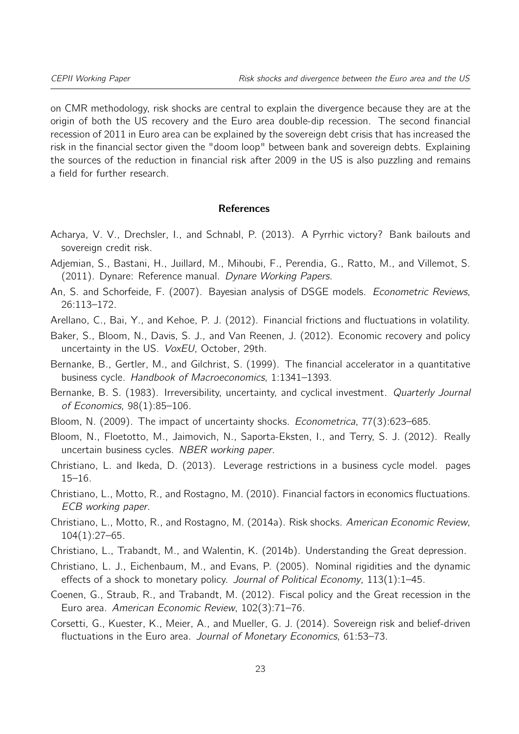on CMR methodology, risk shocks are central to explain the divergence because they are at the origin of both the US recovery and the Euro area double-dip recession. The second financial recession of 2011 in Euro area can be explained by the sovereign debt crisis that has increased the risk in the financial sector given the "doom loop" between bank and sovereign debts. Explaining the sources of the reduction in financial risk after 2009 in the US is also puzzling and remains a field for further research.

#### References

- <span id="page-22-15"></span>Acharya, V. V., Drechsler, I., and Schnabl, P. (2013). A Pyrrhic victory? Bank bailouts and sovereign credit risk.
- <span id="page-22-10"></span>Adjemian, S., Bastani, H., Juillard, M., Mihoubi, F., Perendia, G., Ratto, M., and Villemot, S. (2011). Dynare: Reference manual. Dynare Working Papers.
- <span id="page-22-12"></span>An, S. and Schorfeide, F. (2007). Bayesian analysis of DSGE models. Econometric Reviews, 26:113–172.
- <span id="page-22-3"></span>Arellano, C., Bai, Y., and Kehoe, P. J. (2012). Financial frictions and fluctuations in volatility.
- <span id="page-22-1"></span>Baker, S., Bloom, N., Davis, S. J., and Van Reenen, J. (2012). Economic recovery and policy uncertainty in the US. VoxEU, October, 29th.
- <span id="page-22-2"></span>Bernanke, B., Gertler, M., and Gilchrist, S. (1999). The financial accelerator in a quantitative business cycle. Handbook of Macroeconomics, 1:1341–1393.
- <span id="page-22-4"></span>Bernanke, B. S. (1983). Irreversibility, uncertainty, and cyclical investment. Quarterly Journal of Economics, 98(1):85–106.
- <span id="page-22-5"></span>Bloom, N. (2009). The impact of uncertainty shocks. Econometrica, 77(3):623–685.
- <span id="page-22-6"></span>Bloom, N., Floetotto, M., Jaimovich, N., Saporta-Eksten, I., and Terry, S. J. (2012). Really uncertain business cycles. NBER working paper.
- <span id="page-22-14"></span>Christiano, L. and Ikeda, D. (2013). Leverage restrictions in a business cycle model. pages 15–16.
- <span id="page-22-7"></span>Christiano, L., Motto, R., and Rostagno, M. (2010). Financial factors in economics fluctuations. ECB working paper.
- <span id="page-22-0"></span>Christiano, L., Motto, R., and Rostagno, M. (2014a). Risk shocks. American Economic Review, 104(1):27–65.
- <span id="page-22-8"></span>Christiano, L., Trabandt, M., and Walentin, K. (2014b). Understanding the Great depression.
- <span id="page-22-11"></span>Christiano, L. J., Eichenbaum, M., and Evans, P. (2005). Nominal rigidities and the dynamic effects of a shock to monetary policy. Journal of Political Economy,  $113(1)$ :1–45.
- <span id="page-22-9"></span>Coenen, G., Straub, R., and Trabandt, M. (2012). Fiscal policy and the Great recession in the Euro area. American Economic Review, 102(3):71–76.
- <span id="page-22-13"></span>Corsetti, G., Kuester, K., Meier, A., and Mueller, G. J. (2014). Sovereign risk and belief-driven fluctuations in the Euro area. Journal of Monetary Economics, 61:53–73.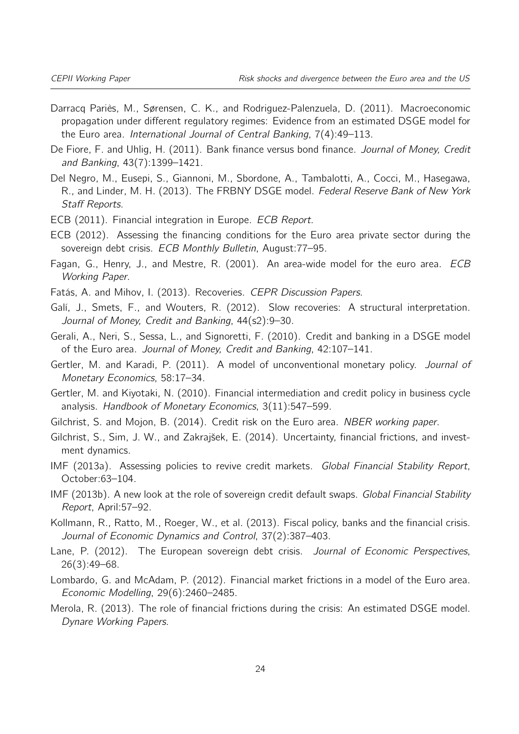- <span id="page-23-7"></span>Darracq Pariès, M., Sørensen, C. K., and Rodriguez-Palenzuela, D. (2011). Macroeconomic propagation under different regulatory regimes: Evidence from an estimated DSGE model for the Euro area. International Journal of Central Banking, 7(4):49–113.
- <span id="page-23-11"></span>De Fiore, F. and Uhlig, H. (2011). Bank finance versus bond finance. Journal of Money, Credit and Banking, 43(7):1399–1421.
- <span id="page-23-6"></span>Del Negro, M., Eusepi, S., Giannoni, M., Sbordone, A., Tambalotti, A., Cocci, M., Hasegawa, R., and Linder, M. H. (2013). The FRBNY DSGE model. Federal Reserve Bank of New York Staff Reports.
- <span id="page-23-18"></span>ECB (2011). Financial integration in Europe. ECB Report.
- <span id="page-23-17"></span>ECB (2012). Assessing the financing conditions for the Euro area private sector during the sovereign debt crisis. ECB Monthly Bulletin, August: 77-95.
- <span id="page-23-10"></span>Fagan, G., Henry, J., and Mestre, R. (2001). An area-wide model for the euro area. ECB Working Paper.
- <span id="page-23-1"></span>Fatás, A. and Mihov, I. (2013). Recoveries. CEPR Discussion Papers.
- <span id="page-23-0"></span>Galí, J., Smets, F., and Wouters, R. (2012). Slow recoveries: A structural interpretation. Journal of Money, Credit and Banking, 44(s2):9–30.
- <span id="page-23-13"></span>Gerali, A., Neri, S., Sessa, L., and Signoretti, F. (2010). Credit and banking in a DSGE model of the Euro area. Journal of Money, Credit and Banking, 42:107–141.
- <span id="page-23-4"></span>Gertler, M. and Karadi, P. (2011). A model of unconventional monetary policy. Journal of Monetary Economics, 58:17–34.
- <span id="page-23-3"></span>Gertler, M. and Kiyotaki, N. (2010). Financial intermediation and credit policy in business cycle analysis. Handbook of Monetary Economics, 3(11):547–599.
- <span id="page-23-14"></span>Gilchrist, S. and Mojon, B. (2014). Credit risk on the Euro area. NBER working paper.
- <span id="page-23-2"></span>Gilchrist, S., Sim, J. W., and Zakrajšek, E. (2014). Uncertainty, financial frictions, and investment dynamics.
- <span id="page-23-12"></span>IMF (2013a). Assessing policies to revive credit markets. *Global Financial Stability Report*, October:63–104.
- <span id="page-23-16"></span>IMF (2013b). A new look at the role of sovereign credit default swaps. Global Financial Stability Report, April:57–92.
- <span id="page-23-9"></span>Kollmann, R., Ratto, M., Roeger, W., et al. (2013). Fiscal policy, banks and the financial crisis. Journal of Economic Dynamics and Control, 37(2):387–403.
- <span id="page-23-15"></span>Lane, P. (2012). The European sovereign debt crisis. Journal of Economic Perspectives, 26(3):49–68.
- <span id="page-23-8"></span>Lombardo, G. and McAdam, P. (2012). Financial market frictions in a model of the Euro area. Economic Modelling, 29(6):2460–2485.
- <span id="page-23-5"></span>Merola, R. (2013). The role of financial frictions during the crisis: An estimated DSGE model. Dynare Working Papers.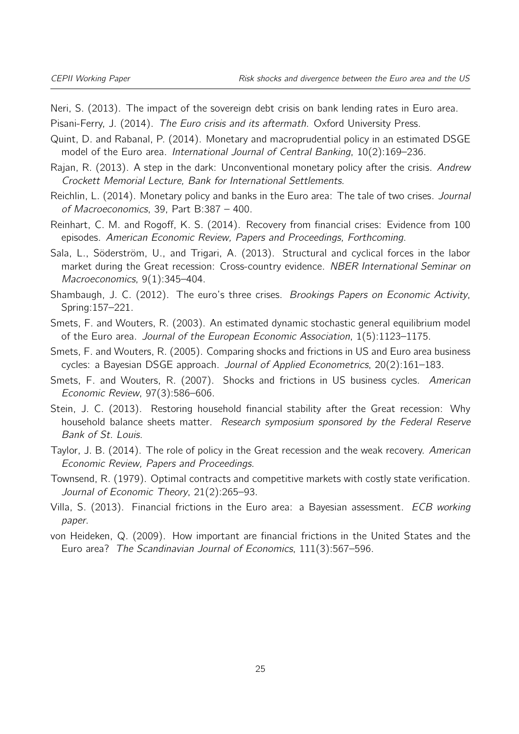<span id="page-24-15"></span>Neri, S. (2013). The impact of the sovereign debt crisis on bank lending rates in Euro area.

<span id="page-24-8"></span>Pisani-Ferry, J. (2014). The Euro crisis and its aftermath. Oxford University Press.

- <span id="page-24-11"></span>Quint, D. and Rabanal, P. (2014). Monetary and macroprudential policy in an estimated DSGE model of the Euro area. International Journal of Central Banking, 10(2):169–236.
- <span id="page-24-13"></span>Rajan, R. (2013). A step in the dark: Unconventional monetary policy after the crisis. Andrew Crockett Memorial Lecture, Bank for International Settlements.
- <span id="page-24-9"></span>Reichlin, L. (2014). Monetary policy and banks in the Euro area: The tale of two crises. Journal of Macroeconomics, 39, Part B:387 – 400.
- <span id="page-24-0"></span>Reinhart, C. M. and Rogoff, K. S. (2014). Recovery from financial crises: Evidence from 100 episodes. American Economic Review, Papers and Proceedings, Forthcoming.
- <span id="page-24-4"></span>Sala, L., Söderström, U., and Trigari, A. (2013). Structural and cyclical forces in the labor market during the Great recession: Cross-country evidence. NBER International Seminar on Macroeconomics, 9(1):345-404.
- <span id="page-24-14"></span>Shambaugh, J. C. (2012). The euro's three crises. Brookings Papers on Economic Activity, Spring:157–221.
- <span id="page-24-6"></span>Smets, F. and Wouters, R. (2003). An estimated dynamic stochastic general equilibrium model of the Euro area. Journal of the European Economic Association, 1(5):1123–1175.
- <span id="page-24-3"></span>Smets, F. and Wouters, R. (2005). Comparing shocks and frictions in US and Euro area business cycles: a Bayesian DSGE approach. Journal of Applied Econometrics, 20(2):161–183.
- <span id="page-24-7"></span>Smets, F. and Wouters, R. (2007). Shocks and frictions in US business cycles. American Economic Review, 97(3):586–606.
- <span id="page-24-12"></span>Stein, J. C. (2013). Restoring household financial stability after the Great recession: Why household balance sheets matter. Research symposium sponsored by the Federal Reserve Bank of St. Louis.
- <span id="page-24-1"></span>Taylor, J. B. (2014). The role of policy in the Great recession and the weak recovery. American Economic Review, Papers and Proceedings.
- <span id="page-24-2"></span>Townsend, R. (1979). Optimal contracts and competitive markets with costly state verification. Journal of Economic Theory, 21(2):265–93.
- <span id="page-24-5"></span>Villa, S. (2013). Financial frictions in the Euro area: a Bayesian assessment. *ECB working* paper.
- <span id="page-24-10"></span>von Heideken, Q. (2009). How important are financial frictions in the United States and the Euro area? The Scandinavian Journal of Economics, 111(3):567–596.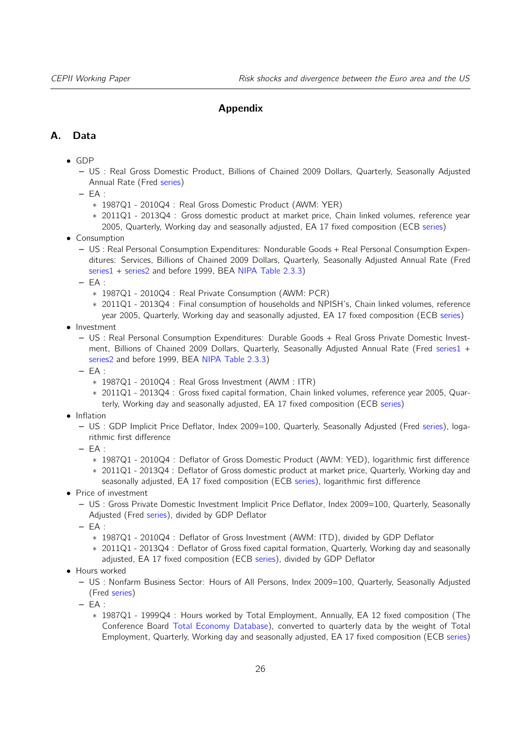#### Appendix

#### <span id="page-25-0"></span>A. Data

- GDP
	- US : Real Gross Domestic Product, Billions of Chained 2009 Dollars, Quarterly, Seasonally Adjusted Annual Rate (Fred [series\)](http://research.stlouisfed.org/fred2/series/GDPC1)
	- $-$  FA  $\cdot$ 
		- ∗ 1987Q1 2010Q4 : Real Gross Domestic Product (AWM: YER)
		- ∗ 2011Q1 2013Q4 : Gross domestic product at market price, Chain linked volumes, reference year 2005, Quarterly, Working day and seasonally adjusted, EA 17 fixed composition (ECB [series\)](http://sdw.ecb.europa.eu/quickview.do?SERIES_KEY=119.ESA.Q.I6.Y.0000.B1QG00.1000.TTTT.L.U.A)
- Consumption
	- US : Real Personal Consumption Expenditures: Nondurable Goods + Real Personal Consumption Expenditures: Services, Billions of Chained 2009 Dollars, Quarterly, Seasonally Adjusted Annual Rate (Fred [series1](http://research.stlouisfed.org/fred2/series/PCNDGC96) + [series2](http://research.stlouisfed.org/fred2/series/PCESVC96) and before 1999, BEA [NIPA Table 2.3.3\)](http://www.bea.gov/iTable/iTable.cfm?ReqID=9&step=1#reqid=9&step=1&isuri=1)
	- $-$  EA :
		- ∗ 1987Q1 2010Q4 : Real Private Consumption (AWM: PCR)
		- ∗ 2011Q1 2013Q4 : Final consumption of households and NPISH's, Chain linked volumes, reference year 2005, Quarterly, Working day and seasonally adjusted, EA 17 fixed composition (ECB [series\)](http://sdw.ecb.europa.eu/quickview.do?SERIES_KEY=119.ESA.Q.I6.Y.1415.P31000.0000.TTTT.L.U.A)
- Investment
	- US : Real Personal Consumption Expenditures: Durable Goods + Real Gross Private Domestic Investment, Billions of Chained 2009 Dollars, Quarterly, Seasonally Adjusted Annual Rate (Fred [series1](http://research.stlouisfed.org/fred2/series/PCDGCC96) + [series2](http://research.stlouisfed.org/fred2/series/GPDIC1) and before 1999, BEA [NIPA Table 2.3.3\)](http://www.bea.gov/iTable/iTable.cfm?ReqID=9&step=1#reqid=9&step=1&isuri=1)
	- $-$  EA :
		- ∗ 1987Q1 2010Q4 : Real Gross Investment (AWM : ITR)
		- ∗ 2011Q1 2013Q4 : Gross fixed capital formation, Chain linked volumes, reference year 2005, Quarterly, Working day and seasonally adjusted, EA 17 fixed composition (ECB [series\)](http://sdw.ecb.europa.eu/quickview.do?SERIES_KEY=119.ESA.Q.I6.Y.1000.P51000.0000.TTTT.L.U.A)
- Inflation
	- US : GDP Implicit Price Deflator, Index 2009=100, Quarterly, Seasonally Adjusted (Fred [series\)](http://research.stlouisfed.org/fred2/series/GDPDEF), logarithmic first difference
	- $-$  FA :
		- ∗ 1987Q1 2010Q4 : Deflator of Gross Domestic Product (AWM: YED), logarithmic first difference
		- ∗ 2011Q1 2013Q4 : Deflator of Gross domestic product at market price, Quarterly, Working day and seasonally adjusted, EA 17 fixed composition (ECB [series\)](http://sdw.ecb.europa.eu/quickview.do?SERIES_KEY=119.ESA.Q.I6.Y.0000.B1QG00.1000.TTTT.D.U.I), logarithmic first difference
- Price of investment
	- US : Gross Private Domestic Investment Implicit Price Deflator, Index 2009=100, Quarterly, Seasonally Adjusted (Fred [series\)](http://research.stlouisfed.org/fred2/series/A006RD3Q086SBEA), divided by GDP Deflator
	- $-$  FA  $\cdot$ 
		- ∗ 1987Q1 2010Q4 : Deflator of Gross Investment (AWM: ITD), divided by GDP Deflator
		- ∗ 2011Q1 2013Q4 : Deflator of Gross fixed capital formation, Quarterly, Working day and seasonally adjusted, EA 17 fixed composition (ECB [series\)](http://sdw.ecb.europa.eu/quickview.do?SERIES_KEY=119.ESA.Q.I6.Y.1000.P51000.0000.TTTT.D.U.I), divided by GDP Deflator
- Hours worked
	- US : Nonfarm Business Sector: Hours of All Persons, Index 2009=100, Quarterly, Seasonally Adjusted (Fred [series\)](http://research.stlouisfed.org/fred2/series/HOANBS)
	- EA :
		- ∗ 1987Q1 1999Q4 : Hours worked by Total Employment, Annually, EA 12 fixed composition (The Conference Board [Total Economy Database\)](http://www.conference-board.org/data/economydatabase/), converted to quarterly data by the weight of Total Employment, Quarterly, Working day and seasonally adjusted, EA 17 fixed composition (ECB [series\)](http://sdw.ecb.europa.eu/quickview.do?SERIES_KEY=119.ESA.Q.I6.Y.1000.TOTEMP.0000.TTTT.N.P.A)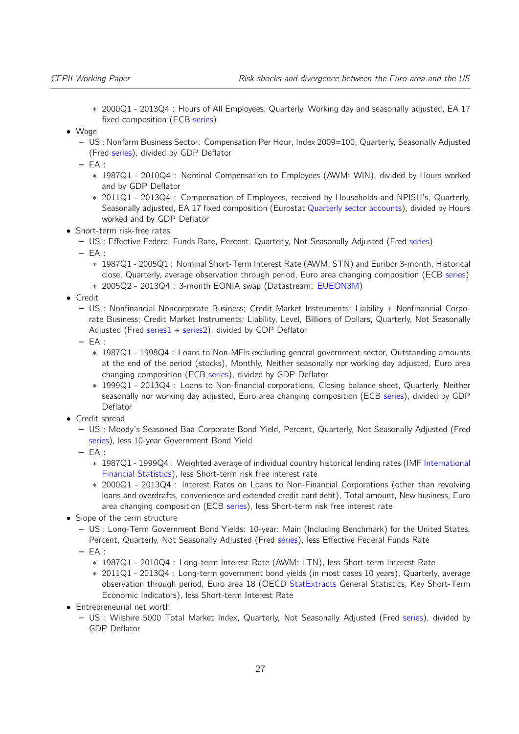- ∗ 2000Q1 2013Q4 : Hours of All Employees, Quarterly, Working day and seasonally adjusted, EA 17 fixed composition (ECB [series\)](http://sdw.ecb.europa.eu/quickview.do?SERIES_KEY=119.ESA.Q.I6.Y.1000.EMPLOY.0000.TTTT.N.H.A)
- Wage
	- US : Nonfarm Business Sector: Compensation Per Hour, Index 2009=100, Quarterly, Seasonally Adjusted (Fred [series\)](http://research.stlouisfed.org/fred2/series/COMPNFB), divided by GDP Deflator
	- $-$  FA :
		- ∗ 1987Q1 2010Q4 : Nominal Compensation to Employees (AWM: WIN), divided by Hours worked and by GDP Deflator
		- ∗ 2011Q1 2013Q4 : Compensation of Employees, received by Households and NPISH's, Quarterly, Seasonally adjusted, EA 17 fixed composition (Eurostat [Quarterly sector accounts\)](http://appsso.eurostat.ec.europa.eu/nui/show.do?dataset=nasq_nf_tr&lang=en), divided by Hours worked and by GDP Deflator
- Short-term risk-free rates
	- US : Effective Federal Funds Rate, Percent, Quarterly, Not Seasonally Adjusted (Fred [series\)](http://research.stlouisfed.org/fred2/series/DFF)
	- EA :
		- ∗ 1987Q1 2005Q1 : Nominal Short-Term Interest Rate (AWM: STN) and Euribor 3-month, Historical close, Quarterly, average observation through period, Euro area changing composition (ECB [series\)](http://sdw.ecb.europa.eu/quickview.do?SERIES_KEY=143.FM.Q.U2.EUR.RT.MM.EURIBOR3MD_.HSTA)
		- ∗ 2005Q2 2013Q4 : 3-month EONIA swap (Datastream: [EUEON3M\)](https://forms.thomsonreuters.com/datastream/)
- Credit
	- US : Nonfinancial Noncorporate Business; Credit Market Instruments; Liability + Nonfinancial Corporate Business; Credit Market Instruments; Liability, Level, Billions of Dollars, Quarterly, Not Seasonally Adjusted (Fred [series1](http://research.stlouisfed.org/fred2/series/NNBTCMDODNS) + [series2\)](http://research.stlouisfed.org/fred2/series/TCMILBSNNCB), divided by GDP Deflator
	- $-$  EA :
		- ∗ 1987Q1 1998Q4 : Loans to Non-MFIs excluding general government sector, Outstanding amounts at the end of the period (stocks), Monthly, Neither seasonally nor working day adjusted, Euro area changing composition (ECB [series\)](http://sdw.ecb.europa.eu/quickview.do?SERIES_KEY=117.BSI.M.U2.N.U.A20.A.1.U2.2200.Z01.E), divided by GDP Deflator
		- ∗ 1999Q1 2013Q4 : Loans to Non-financial corporations, Closing balance sheet, Quarterly, Neither seasonally nor working day adjusted, Euro area changing composition (ECB [series\)](http://sdw.ecb.europa.eu/quickview.do?SERIES_KEY=158.IEAQ.Q.I6.N.V.LE.F4.S11.A1.S.2.X.E.Z), divided by GDP Deflator
- Credit spread
	- US : Moody's Seasoned Baa Corporate Bond Yield, Percent, Quarterly, Not Seasonally Adjusted (Fred [series\)](http://research.stlouisfed.org/fred2/series/BAA), less 10-year Government Bond Yield
	- EA :
		- ∗ 1987Q1 1999Q4 : Weighted average of individual country historical lending rates (IMF [International](http://elibrary-data.imf.org/FindDataReports.aspx?d=33061&e=169393) [Financial Statistics\)](http://elibrary-data.imf.org/FindDataReports.aspx?d=33061&e=169393), less Short-term risk free interest rate
		- ∗ 2000Q1 2013Q4 : Interest Rates on Loans to Non-Financial Corporations (other than revolving loans and overdrafts, convenience and extended credit card debt), Total amount, New business, Euro area changing composition (ECB [series\)](http://sdw.ecb.europa.eu/quickview.do?node=9484266&SERIES_KEY=124.MIR.M.U2.B.A2A.A.R.A.2240.EUR.N), less Short-term risk free interest rate
- Slope of the term structure
	- US : Long-Term Government Bond Yields: 10-year: Main (Including Benchmark) for the United States, Percent, Quarterly, Not Seasonally Adjusted (Fred [series\)](http://research.stlouisfed.org/fred2/series/IRLTLT01USM156N), less Effective Federal Funds Rate  $-$  EA :
	- - ∗ 1987Q1 2010Q4 : Long-term Interest Rate (AWM: LTN), less Short-term Interest Rate
		- ∗ 2011Q1 2013Q4 : Long-term government bond yields (in most cases 10 years), Quarterly, average observation through period, Euro area 18 (OECD [StatExtracts](http://stats.oecd.org/) General Statistics, Key Short-Term Economic Indicators), less Short-term Interest Rate
- Entrepreneurial net worth
	- US : Wilshire 5000 Total Market Index, Quarterly, Not Seasonally Adjusted (Fred [series\)](http://research.stlouisfed.org/fred2/series/WILL5000IND), divided by GDP Deflator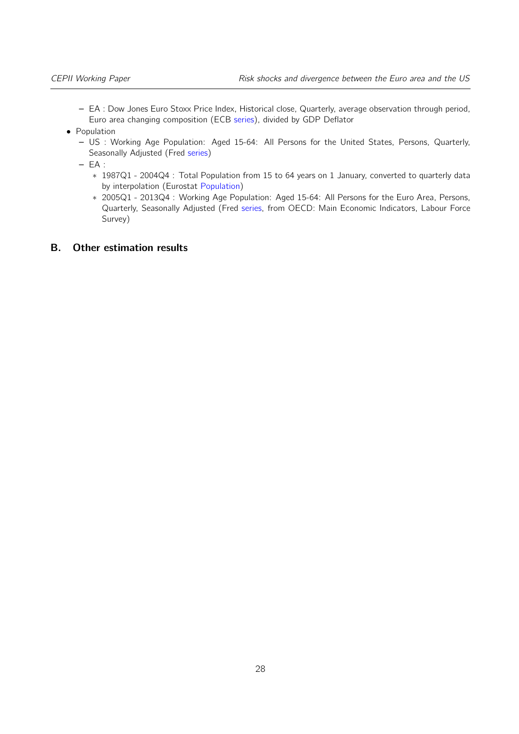- EA : Dow Jones Euro Stoxx Price Index, Historical close, Quarterly, average observation through period, Euro area changing composition (ECB [series\)](http://sdw.ecb.europa.eu/quickview.do?SERIES_KEY=143.FM.Q.U2.EUR.DS.EI.DJEURST.HSTA), divided by GDP Deflator
- Population
	- US : Working Age Population: Aged 15-64: All Persons for the United States, Persons, Quarterly, Seasonally Adjusted (Fred [series\)](http://research.stlouisfed.org/fred2/series/LFWA64TTUSQ647S)
	- $-EA$ :
		- ∗ 1987Q1 2004Q4 : Total Population from 15 to 64 years on 1 January, converted to quarterly data by interpolation (Eurostat [Population\)](http://appsso.eurostat.ec.europa.eu/nui/show.do?dataset=demo_pjanbroad&lang=en)
		- ∗ 2005Q1 2013Q4 : Working Age Population: Aged 15-64: All Persons for the Euro Area, Persons, Quarterly, Seasonally Adjusted (Fred [series,](http://research.stlouisfed.org/fred2/series/LFWA64TTEZQ647S) from OECD: Main Economic Indicators, Labour Force Survey)

#### B. Other estimation results